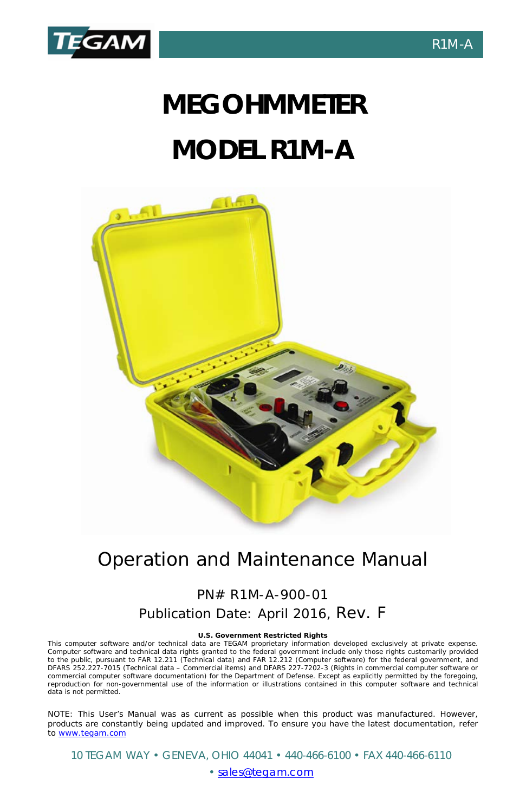

# **MEGOHMMETER MODEL R1M-A**



# Operation and Maintenance Manual

# PN# R1M-A-900-01 Publication Date: April 2016, Rev. F

#### **U.S. Government Restricted Rights**

This computer software and/or technical data are TEGAM proprietary information developed exclusively at private expense. Computer software and technical data rights granted to the federal government include only those rights customarily provided to the public, pursuant to FAR 12.211 (Technical data) and FAR 12.212 (Computer software) for the federal government, and DFARS 252.227-7015 (Technical data – Commercial items) and DFARS 227-7202-3 (Rights in commercial computer software or commercial computer software documentation) for the Department of Defense. Except as explicitly permitted by the foregoing, reproduction for non-governmental use of the information or illustrations contained in this computer software and technical data is not permitted.

NOTE: This User's Manual was as current as possible when this product was manufactured. However, products are constantly being updated and improved. To ensure you have the latest documentation, refer t[o www.tegam.com](http://www.tegam.com/)

10 TEGAM WAY • GENEVA, OHIO 44041 • 440-466-6100 • FAX 440-466-6110

#### • [sales@tegam.com](mailto:sales@tegam.com)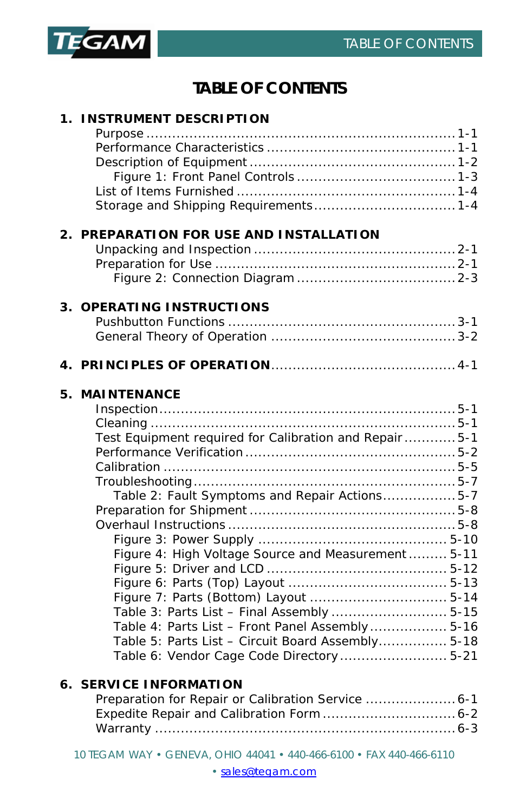

# **TABLE OF CONTENTS**

| 1. INSTRUMENT DESCRIPTION                                                                                                                                                                                                                                                                                                                                       |  |
|-----------------------------------------------------------------------------------------------------------------------------------------------------------------------------------------------------------------------------------------------------------------------------------------------------------------------------------------------------------------|--|
|                                                                                                                                                                                                                                                                                                                                                                 |  |
| 2. PREPARATION FOR USE AND INSTALLATION                                                                                                                                                                                                                                                                                                                         |  |
|                                                                                                                                                                                                                                                                                                                                                                 |  |
| 3. OPERATING INSTRUCTIONS                                                                                                                                                                                                                                                                                                                                       |  |
|                                                                                                                                                                                                                                                                                                                                                                 |  |
|                                                                                                                                                                                                                                                                                                                                                                 |  |
| 5. MAINTENANCE                                                                                                                                                                                                                                                                                                                                                  |  |
| Test Equipment required for Calibration and Repair5-1<br>Table 2: Fault Symptoms and Repair Actions5-7<br>Figure 4: High Voltage Source and Measurement  5-11<br>Table 3: Parts List - Final Assembly  5-15<br>Table 4: Parts List - Front Panel Assembly 5-16<br>Table 5: Parts List - Circuit Board Assembly 5-18<br>Table 6: Vendor Cage Code Directory 5-21 |  |
| <b>6. SERVICE INFORMATION</b><br>Preparation for Repair or Calibration Service  6-1                                                                                                                                                                                                                                                                             |  |

10 TEGAM WAY • GENEVA, OHIO 44041 • 440-466-6100 • FAX 440-466-6110

[• sales@tegam.com](mailto:sales@tegam.com)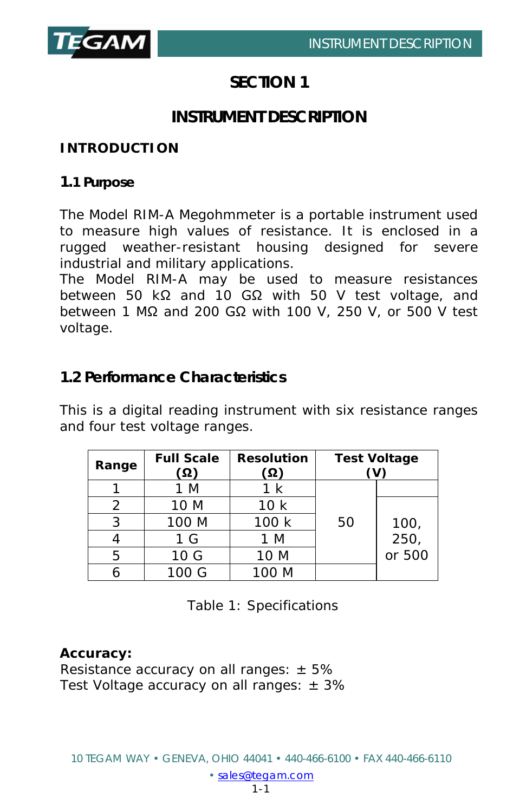

# **SECTION 1**

# **INSTRUMENT DESCRIPTION**

## **INTRODUCTION**

#### **1.1 Purpose**

The Model RIM-A Megohmmeter is a portable instrument used to measure high values of resistance. It is enclosed in a rugged weather-resistant housing designed for severe industrial and military applications.

The Model RIM-A may be used to measure resistances between 50 kΩ and 10 GΩ with 50 V test voltage, and between 1 MΩ and 200 GΩ with 100 V, 250 V, or 500 V test voltage.

# **1.2 Performance Characteristics**

This is a digital reading instrument with six resistance ranges and four test voltage ranges.

| Range | <b>Full Scale</b><br>Ω) | <b>Resolution</b><br>ີ Ω ) | <b>Test Voltage</b> |        |
|-------|-------------------------|----------------------------|---------------------|--------|
|       | M                       | k                          |                     |        |
| 2     | 10 M                    | 10k                        |                     |        |
| ર     | 100 M                   | 100 k                      | 50                  | 100,   |
|       | 1 <sub>G</sub>          | 1 M                        |                     | 250,   |
| 5     | 10 G                    | 10 M                       |                     | or 500 |
|       | 100 G                   | 100 M                      |                     |        |

Table 1: Specifications

#### **Accuracy:**

Resistance accuracy on all ranges:  $\pm$  5% Test Voltage accuracy on all ranges:  $\pm$  3%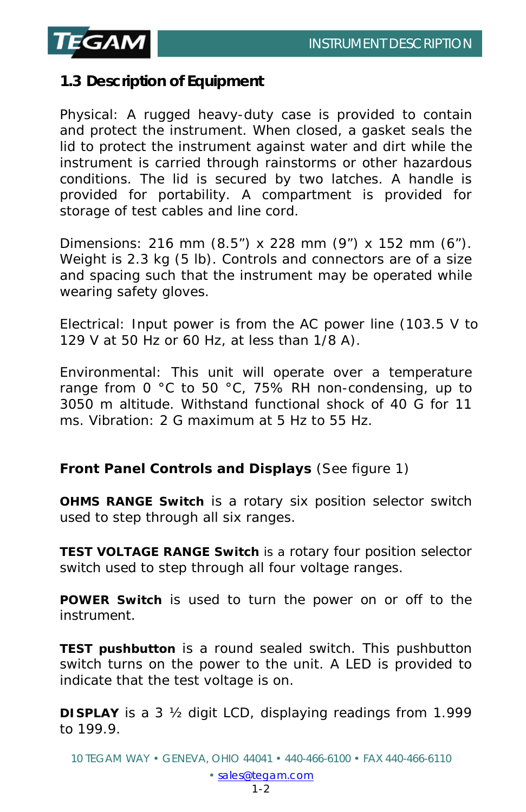

# **1.3 Description of Equipment**

Physical: A rugged heavy-duty case is provided to contain and protect the instrument. When closed, a gasket seals the lid to protect the instrument against water and dirt while the instrument is carried through rainstorms or other hazardous conditions. The lid is secured by two latches. A handle is provided for portability. A compartment is provided for storage of test cables and line cord.

Dimensions: 216 mm (8.5") x 228 mm (9") x 152 mm (6"). Weight is 2.3 kg (5 lb). Controls and connectors are of a size and spacing such that the instrument may be operated while wearing safety gloves.

Electrical: Input power is from the AC power line (103.5 V to 129 V at 50 Hz or 60 Hz, at less than 1/8 A).

Environmental: This unit will operate over a temperature range from 0 °C to 50 °C, 75% RH non-condensing, up to 3050 m altitude. Withstand functional shock of 40 G for 11 ms. Vibration: 2 G maximum at 5 Hz to 55 Hz.

## **Front Panel Controls and Displays** (See figure 1)

**OHMS RANGE Switch** is a rotary six position selector switch used to step through all six ranges.

**TEST VOLTAGE RANGE Switch** is a rotary four position selector switch used to step through all four voltage ranges.

**POWER Switch** is used to turn the power on or off to the instrument.

**TEST pushbutton** is a round sealed switch. This pushbutton switch turns on the power to the unit. A LED is provided to indicate that the test voltage is on.

**DISPLAY** is a 3 ½ digit LCD, displaying readings from 1.999 to 199.9.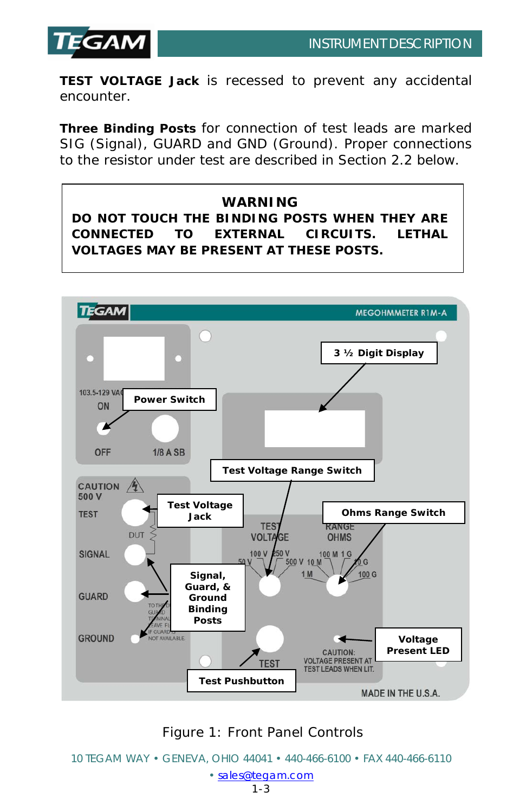

**TEST VOLTAGE Jack** is recessed to prevent any accidental encounter.

**Three Binding Posts** for connection of test leads are marked SIG (Signal), GUARD and GND (Ground). Proper connections to the resistor under test are described in Section 2.2 below.

**WARNING DO NOT TOUCH THE BINDING POSTS WHEN THEY ARE CONNECTED TO EXTERNAL CIRCUITS. LETHAL VOLTAGES MAY BE PRESENT AT THESE POSTS.**



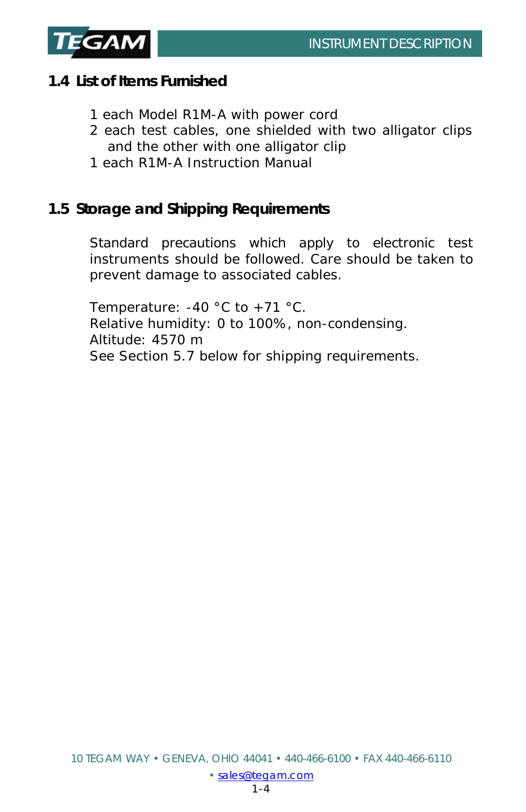

# **1.4 List of Items Furnished**

- 1 each Model R1M-A with power cord
- 2 each test cables, one shielded with two alligator clips and the other with one alligator clip
- 1 each R1M-A Instruction Manual

# **1.5 Storage and Shipping Requirements**

Standard precautions which apply to electronic test instruments should be followed. Care should be taken to prevent damage to associated cables.

Temperature: -40 °C to +71 °C. Relative humidity: 0 to 100%, non-condensing. Altitude: 4570 m See Section 5.7 below for shipping requirements.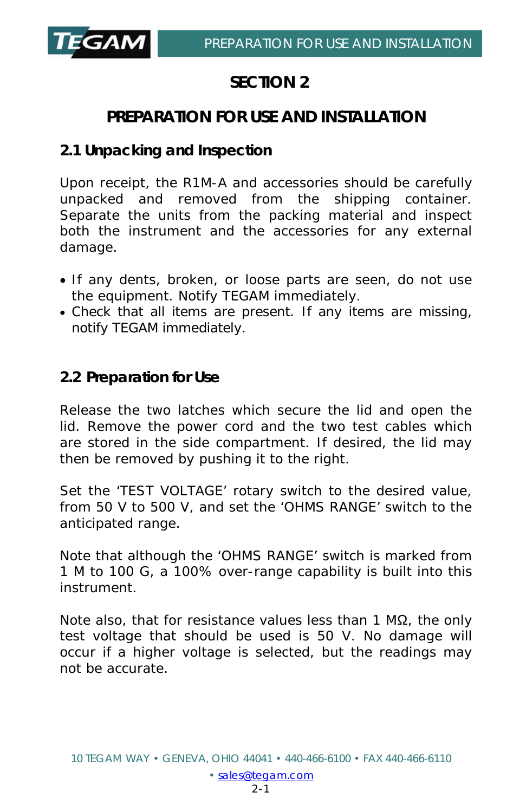

# **SECTION 2**

# **PREPARATION FOR USE AND INSTALLATION**

# **2.1 Unpacking and Inspection**

Upon receipt, the R1M-A and accessories should be carefully unpacked and removed from the shipping container. Separate the units from the packing material and inspect both the instrument and the accessories for any external damage.

- If any dents, broken, or loose parts are seen, do not use the equipment. Notify TEGAM immediately.
- Check that all items are present. If any items are missing, notify TEGAM immediately.

# **2.2 Preparation for Use**

Release the two latches which secure the lid and open the lid. Remove the power cord and the two test cables which are stored in the side compartment. If desired, the lid may then be removed by pushing it to the right.

Set the 'TEST VOLTAGE' rotary switch to the desired value, from 50 V to 500 V, and set the 'OHMS RANGE' switch to the anticipated range.

Note that although the 'OHMS RANGE' switch is marked from 1 M to 100 G, a 100% over-range capability is built into this instrument.

Note also, that for resistance values less than 1 MΩ, the only test voltage that should be used is 50 V. No damage will occur if a higher voltage is selected, but the readings may not be accurate.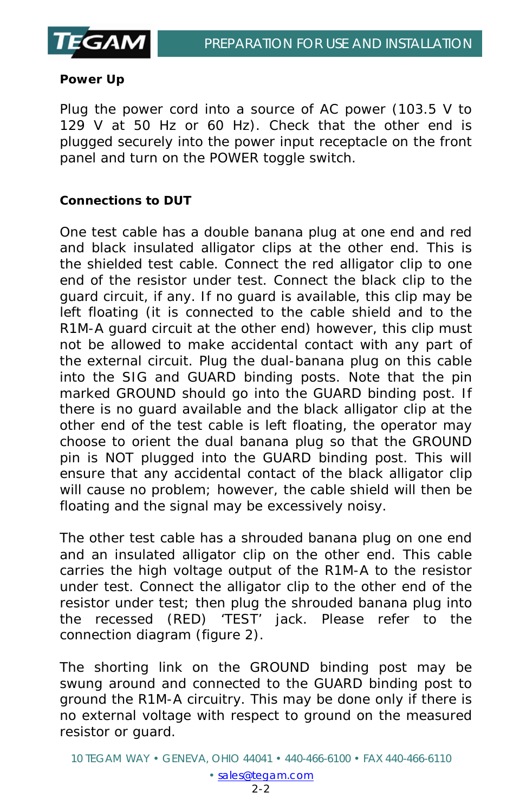

#### **Power Up**

Plug the power cord into a source of AC power (103.5 V to 129 V at 50 Hz or 60 Hz). Check that the other end is plugged securely into the power input receptacle on the front panel and turn on the POWER toggle switch.

#### **Connections to DUT**

One test cable has a double banana plug at one end and red and black insulated alligator clips at the other end. This is the shielded test cable. Connect the red alligator clip to one end of the resistor under test. Connect the black clip to the guard circuit, if any. If no guard is available, this clip may be left floating (it is connected to the cable shield and to the R1M-A guard circuit at the other end) however, this clip must not be allowed to make accidental contact with any part of the external circuit. Plug the dual-banana plug on this cable into the SIG and GUARD binding posts. Note that the pin marked GROUND should go into the GUARD binding post. If there is no guard available and the black alligator clip at the other end of the test cable is left floating, the operator may choose to orient the dual banana plug so that the GROUND pin is NOT plugged into the GUARD binding post. This will ensure that any accidental contact of the black alligator clip will cause no problem; however, the cable shield will then be floating and the signal may be excessively noisy.

The other test cable has a shrouded banana plug on one end and an insulated alligator clip on the other end. This cable carries the high voltage output of the R1M-A to the resistor under test. Connect the alligator clip to the other end of the resistor under test; then plug the shrouded banana plug into the recessed (RED) 'TEST' jack. Please refer to the connection diagram (figure 2).

The shorting link on the GROUND binding post may be swung around and connected to the GUARD binding post to ground the R1M-A circuitry. This may be done only if there is no external voltage with respect to ground on the measured resistor or guard.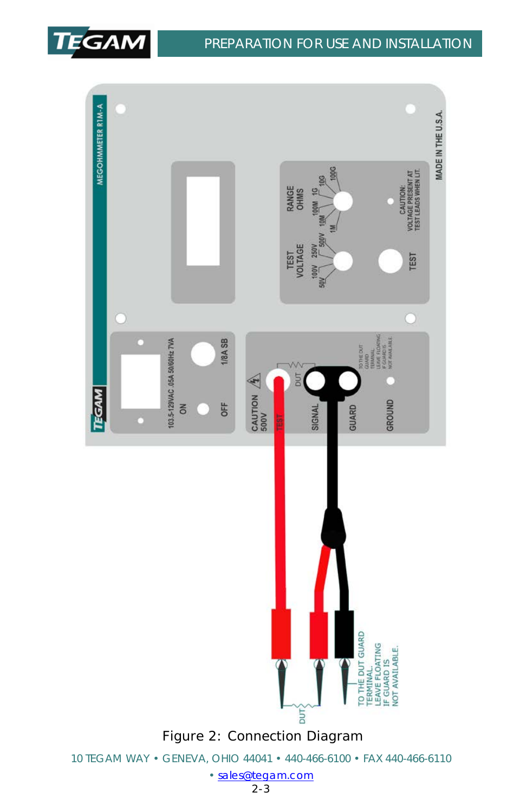

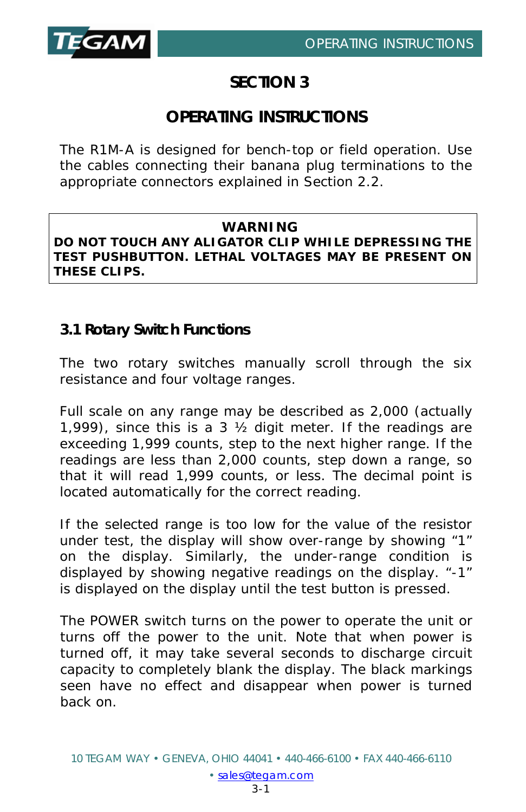

# **SECTION 3**

# **OPERATING INSTRUCTIONS**

The R1M-A is designed for bench-top or field operation. Use the cables connecting their banana plug terminations to the appropriate connectors explained in Section 2.2.

### **WARNING**

**DO NOT TOUCH ANY ALIGATOR CLIP WHILE DEPRESSING THE TEST PUSHBUTTON. LETHAL VOLTAGES MAY BE PRESENT ON THESE CLIPS.**

# **3.1 Rotary Switch Functions**

The two rotary switches manually scroll through the six resistance and four voltage ranges.

Full scale on any range may be described as 2,000 (actually 1,999), since this is a 3 ½ digit meter. If the readings are exceeding 1,999 counts, step to the next higher range. If the readings are less than 2,000 counts, step down a range, so that it will read 1,999 counts, or less. The decimal point is located automatically for the correct reading.

If the selected range is too low for the value of the resistor under test, the display will show over-range by showing "1" on the display. Similarly, the under-range condition is displayed by showing negative readings on the display. "-1" is displayed on the display until the test button is pressed.

The POWER switch turns on the power to operate the unit or turns off the power to the unit. Note that when power is turned off, it may take several seconds to discharge circuit capacity to completely blank the display. The black markings seen have no effect and disappear when power is turned back on.

• [sales@tegam.com](mailto:sales@tegam.com)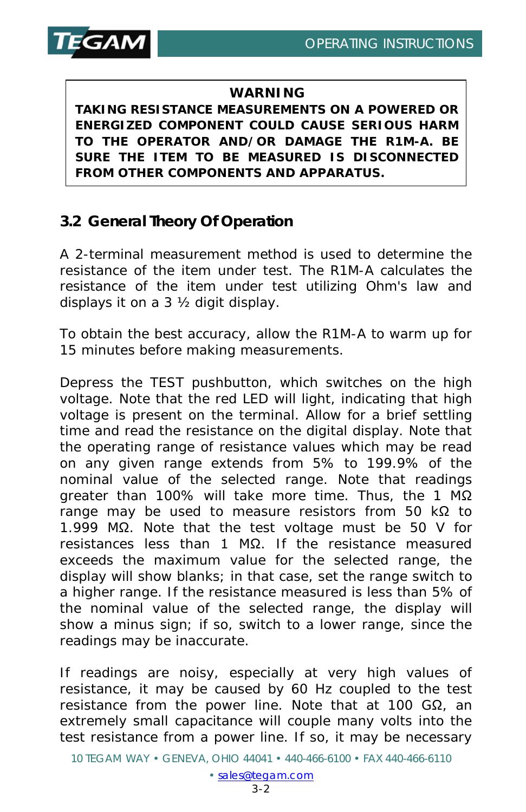

#### **WARNING**

**TAKING RESISTANCE MEASUREMENTS ON A POWERED OR ENERGIZED COMPONENT COULD CAUSE SERIOUS HARM TO THE OPERATOR AND/OR DAMAGE THE R1M-A. BE SURE THE ITEM TO BE MEASURED IS DISCONNECTED FROM OTHER COMPONENTS AND APPARATUS.**

# **3.2 General Theory Of Operation**

A 2-terminal measurement method is used to determine the resistance of the item under test. The R1M-A calculates the resistance of the item under test utilizing Ohm's law and displays it on a 3 ½ digit display.

To obtain the best accuracy, allow the R1M-A to warm up for 15 minutes before making measurements.

Depress the TEST pushbutton, which switches on the high voltage. Note that the red LED will light, indicating that high voltage is present on the terminal. Allow for a brief settling time and read the resistance on the digital display. Note that the operating range of resistance values which may be read on any given range extends from 5% to 199.9% of the nominal value of the selected range. Note that readings greater than 100% will take more time. Thus, the 1 MΩ range may be used to measure resistors from 50 kΩ to 1.999 MΩ. Note that the test voltage must be 50 V for resistances less than 1 MΩ. If the resistance measured exceeds the maximum value for the selected range, the display will show blanks; in that case, set the range switch to a higher range. If the resistance measured is less than 5% of the nominal value of the selected range, the display will show a minus sign; if so, switch to a lower range, since the readings may be inaccurate.

If readings are noisy, especially at very high values of resistance, it may be caused by 60 Hz coupled to the test resistance from the power line. Note that at 100 GΩ, an extremely small capacitance will couple many volts into the test resistance from a power line. If so, it may be necessary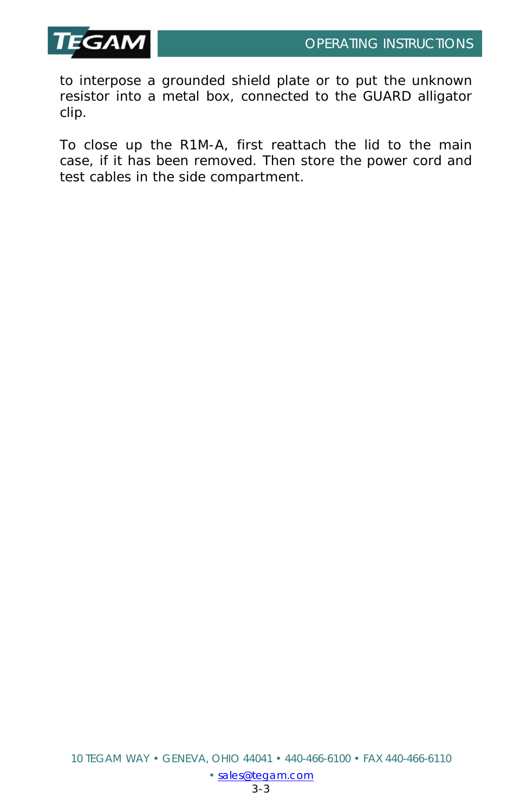

to interpose a grounded shield plate or to put the unknown resistor into a metal box, connected to the GUARD alligator clip.

To close up the R1M-A, first reattach the lid to the main case, if it has been removed. Then store the power cord and test cables in the side compartment.

• [sales@tegam.com](mailto:sales@tegam.com)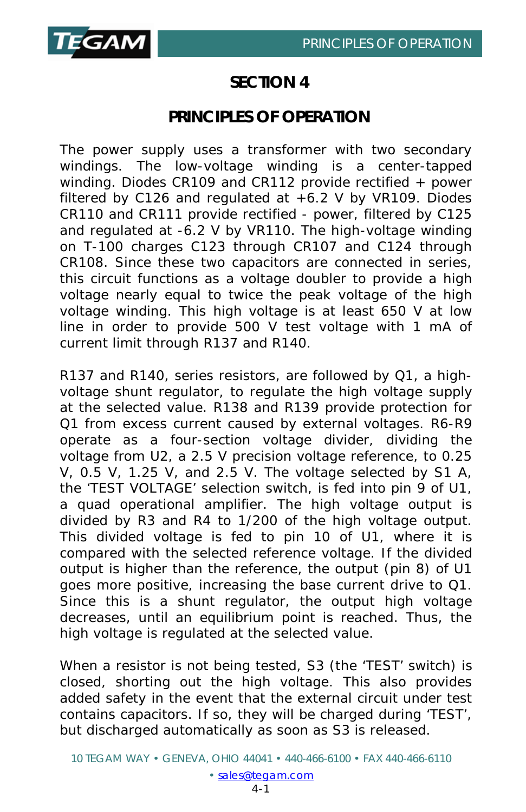

# **SECTION 4**

# **PRINCIPLES OF OPERATION**

The power supply uses a transformer with two secondary windings. The low-voltage winding is a center-tapped winding. Diodes CR109 and CR112 provide rectified + power filtered by C126 and regulated at +6.2 V by VR109. Diodes CR110 and CR111 provide rectified - power, filtered by C125 and regulated at -6.2 V by VR110. The high-voltage winding on T-100 charges C123 through CR107 and C124 through CR108. Since these two capacitors are connected in series, this circuit functions as a voltage doubler to provide a high voltage nearly equal to twice the peak voltage of the high voltage winding. This high voltage is at least 650 V at low line in order to provide 500 V test voltage with 1 mA of current limit through R137 and R140.

R137 and R140, series resistors, are followed by Q1, a highvoltage shunt regulator, to regulate the high voltage supply at the selected value. R138 and R139 provide protection for Q1 from excess current caused by external voltages. R6-R9 operate as a four-section voltage divider, dividing the voltage from U2, a 2.5 V precision voltage reference, to 0.25 V, 0.5 V, 1.25 V, and 2.5 V. The voltage selected by S1 A, the 'TEST VOLTAGE' selection switch, is fed into pin 9 of U1, a quad operational amplifier. The high voltage output is divided by R3 and R4 to 1/200 of the high voltage output. This divided voltage is fed to pin 10 of U1, where it is compared with the selected reference voltage. If the divided output is higher than the reference, the output (pin 8) of U1 goes more positive, increasing the base current drive to Q1. Since this is a shunt regulator, the output high voltage decreases, until an equilibrium point is reached. Thus, the high voltage is regulated at the selected value.

When a resistor is not being tested, S3 (the 'TEST' switch) is closed, shorting out the high voltage. This also provides added safety in the event that the external circuit under test contains capacitors. If so, they will be charged during 'TEST', but discharged automatically as soon as S3 is released.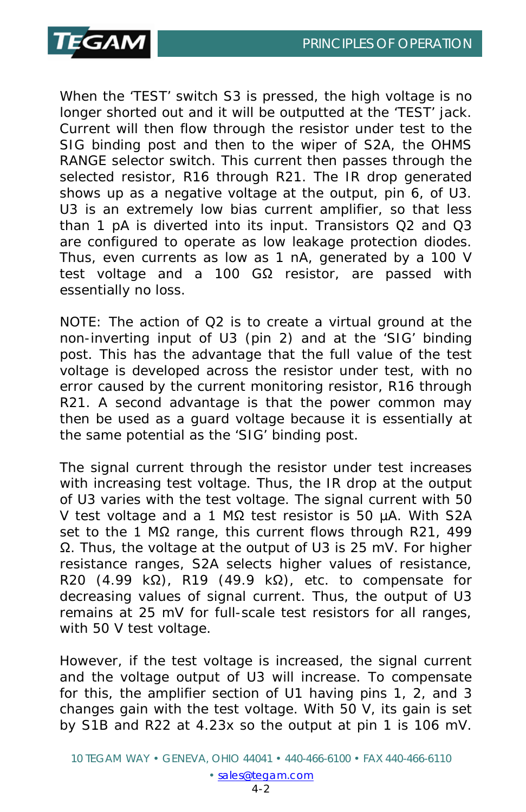

When the 'TEST' switch S3 is pressed, the high voltage is no longer shorted out and it will be outputted at the 'TEST' jack. Current will then flow through the resistor under test to the SIG binding post and then to the wiper of S2A, the OHMS RANGE selector switch. This current then passes through the selected resistor, R16 through R21. The IR drop generated shows up as a negative voltage at the output, pin 6, of U3. U3 is an extremely low bias current amplifier, so that less than 1 pA is diverted into its input. Transistors Q2 and Q3 are configured to operate as low leakage protection diodes. Thus, even currents as low as 1 nA, generated by a 100 V test voltage and a 100 GΩ resistor, are passed with essentially no loss.

NOTE: The action of Q2 is to create a virtual ground at the non-inverting input of U3 (pin 2) and at the 'SIG' binding post. This has the advantage that the full value of the test voltage is developed across the resistor under test, with no error caused by the current monitoring resistor, R16 through R21. A second advantage is that the power common may then be used as a guard voltage because it is essentially at the same potential as the 'SIG' binding post.

The signal current through the resistor under test increases with increasing test voltage. Thus, the IR drop at the output of U3 varies with the test voltage. The signal current with 50 V test voltage and a 1 MΩ test resistor is 50 µA. With S2A set to the 1 MΩ range, this current flows through R21, 499 Ω. Thus, the voltage at the output of U3 is 25 mV. For higher resistance ranges, S2A selects higher values of resistance, R20 (4.99 kΩ), R19 (49.9 kΩ), etc. to compensate for decreasing values of signal current. Thus, the output of U3 remains at 25 mV for full-scale test resistors for all ranges, with 50 V test voltage.

However, if the test voltage is increased, the signal current and the voltage output of U3 will increase. To compensate for this, the amplifier section of U1 having pins 1, 2, and 3 changes gain with the test voltage. With 50 V, its gain is set by S1B and R22 at 4.23x so the output at pin 1 is 106 mV.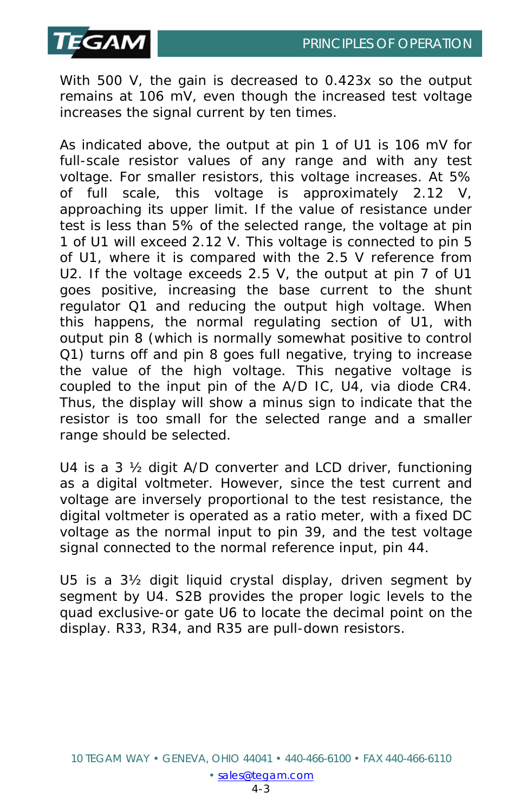

With 500 V, the gain is decreased to 0.423x so the output remains at 106 mV, even though the increased test voltage increases the signal current by ten times.

As indicated above, the output at pin 1 of U1 is 106 mV for full-scale resistor values of any range and with any test voltage. For smaller resistors, this voltage increases. At 5% of full scale, this voltage is approximately 2.12 V, approaching its upper limit. If the value of resistance under test is less than 5% of the selected range, the voltage at pin 1 of U1 will exceed 2.12 V. This voltage is connected to pin 5 of U1, where it is compared with the 2.5 V reference from U2. If the voltage exceeds 2.5 V, the output at pin 7 of U1 goes positive, increasing the base current to the shunt regulator Q1 and reducing the output high voltage. When this happens, the normal regulating section of U1, with output pin 8 (which is normally somewhat positive to control Q1) turns off and pin 8 goes full negative, trying to increase the value of the high voltage. This negative voltage is coupled to the input pin of the A/D IC, U4, via diode CR4. Thus, the display will show a minus sign to indicate that the resistor is too small for the selected range and a smaller range should be selected.

U4 is a 3 ½ digit A/D converter and LCD driver, functioning as a digital voltmeter. However, since the test current and voltage are inversely proportional to the test resistance, the digital voltmeter is operated as a ratio meter, with a fixed DC voltage as the normal input to pin 39, and the test voltage signal connected to the normal reference input, pin 44.

U5 is a 3½ digit liquid crystal display, driven segment by segment by U4. S2B provides the proper logic levels to the quad exclusive-or gate U6 to locate the decimal point on the display. R33, R34, and R35 are pull-down resistors.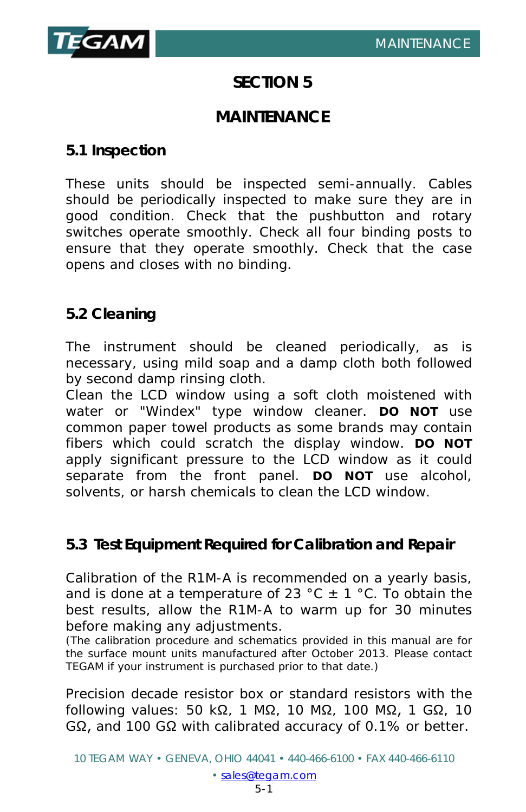

# **SECTION 5**

# **MAINTENANCE**

# **5.1 Inspection**

These units should be inspected semi-annually. Cables should be periodically inspected to make sure they are in good condition. Check that the pushbutton and rotary switches operate smoothly. Check all four binding posts to ensure that they operate smoothly. Check that the case opens and closes with no binding.

## **5.2 Cleaning**

The instrument should be cleaned periodically, as is necessary, using mild soap and a damp cloth both followed by second damp rinsing cloth.

Clean the LCD window using a soft cloth moistened with water or "Windex" type window cleaner. **DO NOT** use common paper towel products as some brands may contain fibers which could scratch the display window. **DO NOT**  apply significant pressure to the LCD window as it could separate from the front panel. **DO NOT** use alcohol, solvents, or harsh chemicals to clean the LCD window.

# **5.3 Test Equipment Required for Calibration and Repair**

Calibration of the R1M-A is recommended on a yearly basis, and is done at a temperature of 23 °C  $\pm$  1 °C. To obtain the best results, allow the R1M-A to warm up for 30 minutes before making any adjustments.

(The calibration procedure and schematics provided in this manual are for the surface mount units manufactured after October 2013. Please contact TEGAM if your instrument is purchased prior to that date.)

Precision decade resistor box or standard resistors with the following values: 50 kΩ, 1 MΩ, 10 MΩ, 100 MΩ, 1 GΩ, 10 GΩ, and 100 GΩ with calibrated accuracy of 0.1% or better.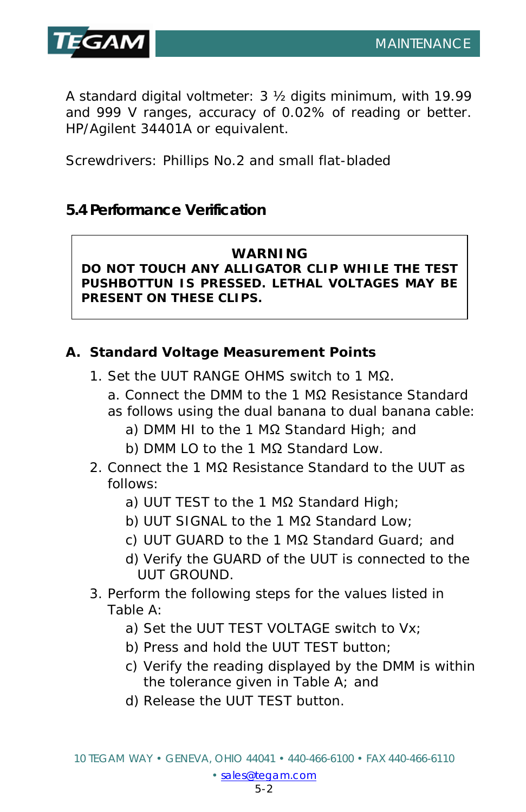

A standard digital voltmeter: 3 ½ digits minimum, with 19.99 and 999 V ranges, accuracy of 0.02% of reading or better. HP/Agilent 34401A or equivalent.

Screwdrivers: Phillips No.2 and small flat-bladed

# **5.4 Performance Verification**

#### **WARNING**

**DO NOT TOUCH ANY ALLIGATOR CLIP WHILE THE TEST PUSHBOTTUN IS PRESSED. LETHAL VOLTAGES MAY BE PRESENT ON THESE CLIPS.**

## **A. Standard Voltage Measurement Points**

- 1. Set the UUT RANGE OHMS switch to 1 MΩ.
	- a. Connect the DMM to the 1 MΩ Resistance Standard as follows using the dual banana to dual banana cable:
		- a) DMM HI to the 1 MΩ Standard High; and
		- b) DMM LO to the 1 MΩ Standard Low.
- 2. Connect the 1 MΩ Resistance Standard to the UUT as follows:
	- a) UUT TEST to the 1 MΩ Standard High;
	- b) UUT SIGNAL to the 1 MΩ Standard Low;
	- c) UUT GUARD to the 1 MΩ Standard Guard; and
	- d) Verify the GUARD of the UUT is connected to the UUT GROUND.
- 3. Perform the following steps for the values listed in Table A:
	- a) Set the UUT TEST VOLTAGE switch to Vx;
	- b) Press and hold the UUT TEST button;
	- c) Verify the reading displayed by the DMM is within the tolerance given in Table A; and
	- d) Release the UUT TEST button.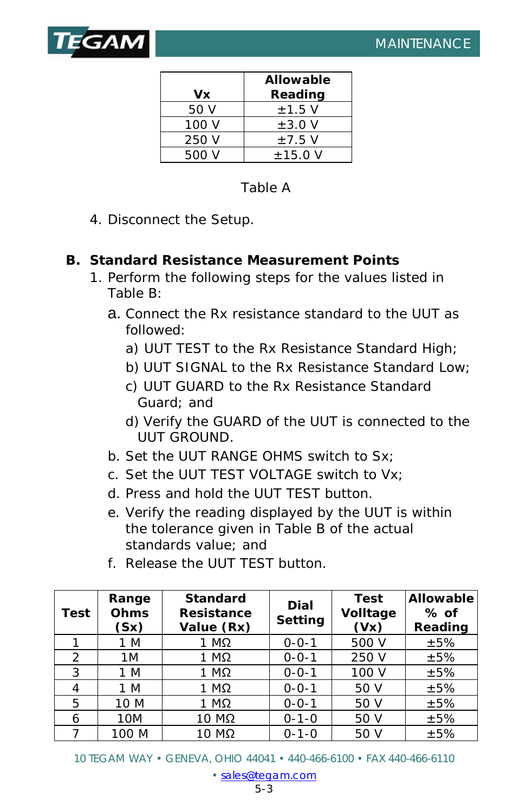

| Vx    | Allowable<br>Reading |
|-------|----------------------|
| 50 V  | $\pm$ 1.5 V          |
| 100 V | $\pm 3.0$ V          |
| 250 V | $\pm$ 7.5 V          |
| 500 V | $±15.0$ V            |

## Table A

4. Disconnect the Setup.

#### **B. Standard Resistance Measurement Points**

- 1. Perform the following steps for the values listed in Table B:
	- a. Connect the Rx resistance standard to the UUT as followed:
		- a) UUT TEST to the Rx Resistance Standard High;
		- b) UUT SIGNAL to the Rx Resistance Standard Low;
		- c) UUT GUARD to the Rx Resistance Standard Guard; and
		- d) Verify the GUARD of the UUT is connected to the UUT GROUND.
	- b. Set the UUT RANGE OHMS switch to Sx;
	- c. Set the UUT TEST VOLTAGE switch to Vx;
	- d. Press and hold the UUT TEST button.
	- e. Verify the reading displayed by the UUT is within the tolerance given in Table B of the actual standards value; and
	- f. Release the UUT TEST button.

| <b>Test</b> | Range<br>Ohms<br>(Sx) | <b>Standard</b><br><b>Resistance</b><br>Value (Rx) | Dial<br>Setting | <b>Test</b><br>Volltage<br>(Vx) | <b>Allowable</b><br>$%$ of<br>Reading |
|-------------|-----------------------|----------------------------------------------------|-----------------|---------------------------------|---------------------------------------|
|             | 1 M                   | 1 MΩ                                               | $0 - 0 - 1$     | 500 V                           | ±5%                                   |
| 2           | 1M                    | $1 M\Omega$                                        | $0 - 0 - 1$     | 250 V                           | ±5%                                   |
| 3           | 1 M                   | $1 M\Omega$                                        | $0 - 0 - 1$     | 100 V                           | ±5%                                   |
| 4           | 1 M                   | $1 M\Omega$                                        | $0 - 0 - 1$     | 50 V                            | ±5%                                   |
| 5           | 10 M                  | $1 M\Omega$                                        | $0 - 0 - 1$     | 50 V                            | ±5%                                   |
| 6           | 10M                   | 10 MΩ                                              | $0 - 1 - 0$     | 50 V                            | ±5%                                   |
|             | 100 M                 | 10 MΩ                                              | $0 - 1 - 0$     | 50 V                            | ±5%                                   |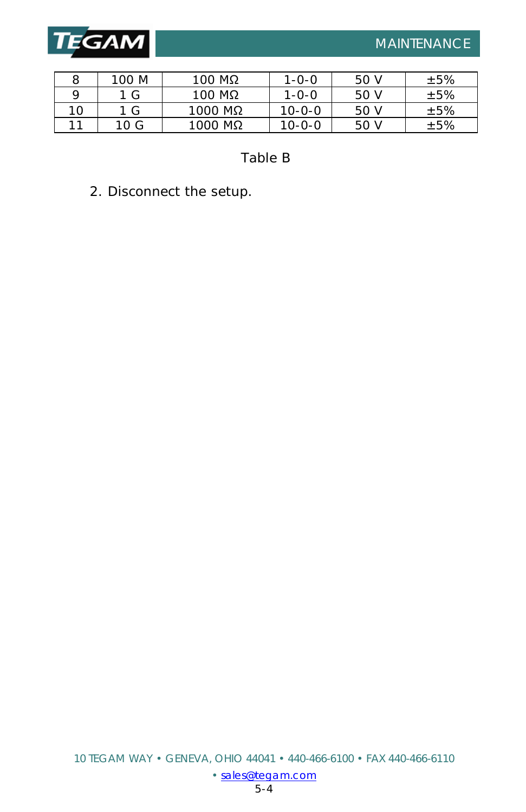

|    | 100 M | $100$ ΜΩ  | $1 - 0 - 0$  | 50 V | ±5% |
|----|-------|-----------|--------------|------|-----|
|    | 1 G   | $100$ ΜΩ  | $1 - 0 - 0$  | 50 V | ±5% |
| 10 | 1 G   | $1000$ MΩ | $10 - 0 - 0$ | 50 V | ±5% |
| 11 | 10G   | $1000$ ΜΩ | $10 - 0 - 0$ | 50 V | ±5% |

Table B

2. Disconnect the setup.

I

[• sales@tegam.com](mailto:sales@tegam.com)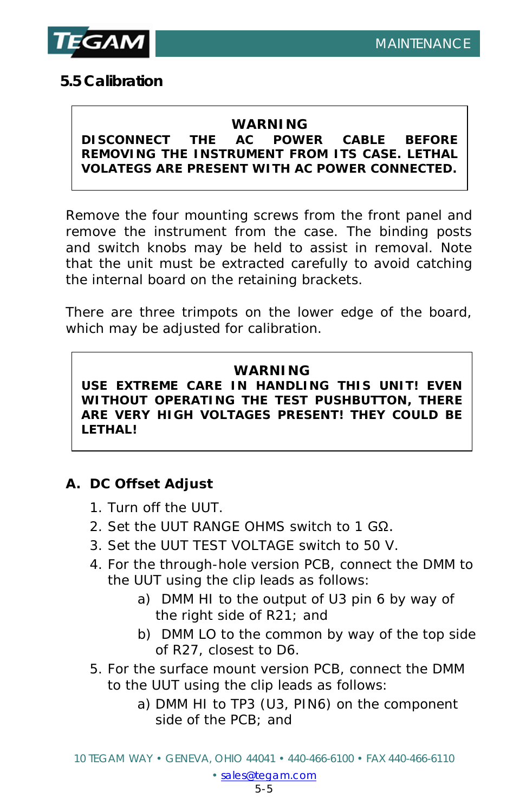

# **5.5 Calibration**

#### **WARNING**

#### **DISCONNECT THE AC POWER CABLE BEFORE REMOVING THE INSTRUMENT FROM ITS CASE. LETHAL VOLATEGS ARE PRESENT WITH AC POWER CONNECTED.**

Remove the four mounting screws from the front panel and remove the instrument from the case. The binding posts and switch knobs may be held to assist in removal. Note that the unit must be extracted carefully to avoid catching the internal board on the retaining brackets.

There are three trimpots on the lower edge of the board, which may be adjusted for calibration.

#### **WARNING**

**USE EXTREME CARE IN HANDLING THIS UNIT! EVEN WITHOUT OPERATING THE TEST PUSHBUTTON, THERE ARE VERY HIGH VOLTAGES PRESENT! THEY COULD BE LETHAL!**

#### **A. DC Offset Adjust**

- 1. Turn off the UUT.
- 2. Set the UUT RANGE OHMS switch to 1 GΩ.
- 3. Set the UUT TEST VOLTAGE switch to 50 V.
- 4. For the through-hole version PCB, connect the DMM to the UUT using the clip leads as follows:
	- a) DMM HI to the output of U3 pin 6 by way of the right side of R21; and
	- b) DMM LO to the common by way of the top side of R27, closest to D6.
- 5. For the surface mount version PCB, connect the DMM to the UUT using the clip leads as follows:
	- a) DMM HI to TP3 (U3, PIN6) on the component side of the PCB; and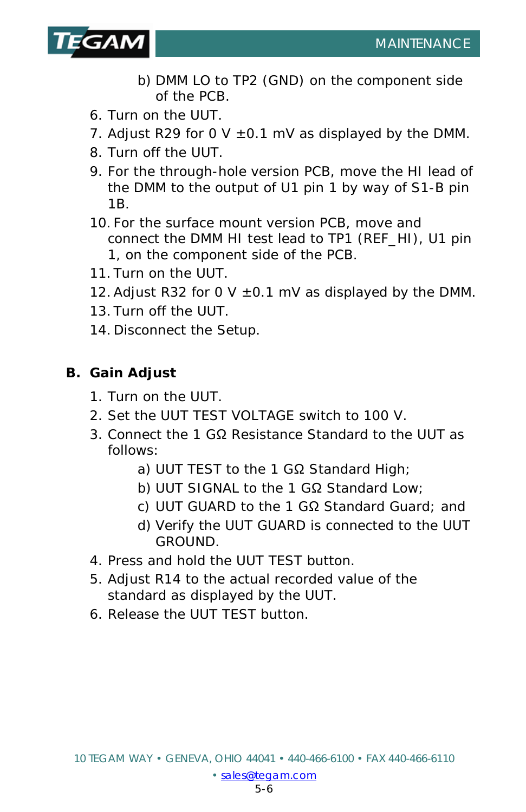

- b) DMM LO to TP2 (GND) on the component side of the PCB.
- 6. Turn on the UUT.
- 7. Adjust R29 for 0 V  $\pm$ 0.1 mV as displayed by the DMM.
- 8. Turn off the UUT.
- 9. For the through-hole version PCB, move the HI lead of the DMM to the output of U1 pin 1 by way of S1-B pin 1B.
- 10. For the surface mount version PCB, move and connect the DMM HI test lead to TP1 (REF\_HI), U1 pin 1, on the component side of the PCB.
- 11. Turn on the UUT.
- 12. Adjust R32 for 0 V  $\pm$ 0.1 mV as displayed by the DMM.
- 13. Turn off the UUT.
- 14. Disconnect the Setup.

# **B. Gain Adjust**

- 1. Turn on the UUT.
- 2. Set the UUT TEST VOLTAGE switch to 100 V.
- 3. Connect the 1 GΩ Resistance Standard to the UUT as follows:
	- a) UUT TEST to the 1 GΩ Standard High;
	- b) UUT SIGNAL to the 1 GΩ Standard Low;
	- c) UUT GUARD to the 1 GΩ Standard Guard; and
	- d) Verify the UUT GUARD is connected to the UUT GROUND.
- 4. Press and hold the UUT TEST button.
- 5. Adjust R14 to the actual recorded value of the standard as displayed by the UUT.
- 6. Release the UUT TEST button.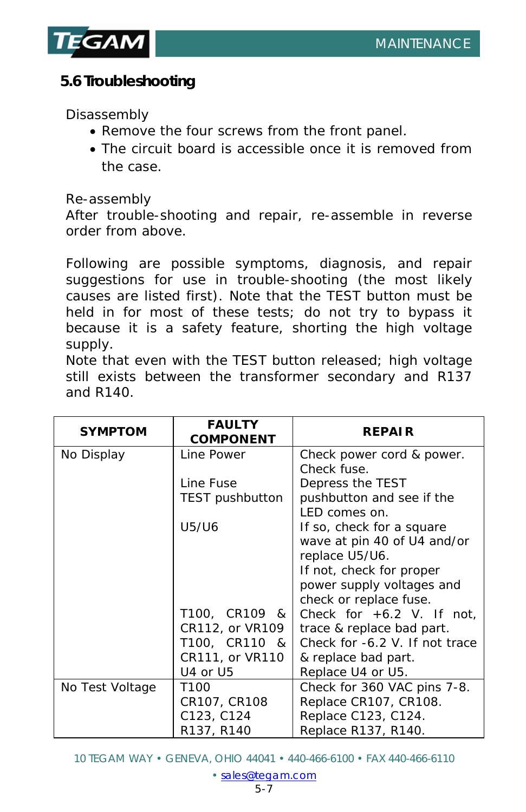

# **5.6 Troubleshooting**

*Disassembly* 

- Remove the four screws from the front panel.
- The circuit board is accessible once it is removed from the case.

#### *Re-assembly*

After trouble-shooting and repair, re-assemble in reverse order from above.

Following are possible symptoms, diagnosis, and repair suggestions for use in trouble-shooting (the most likely causes are listed first). Note that the TEST button must be held in for most of these tests; do not try to bypass it because it is a safety feature, shorting the high voltage supply.

Note that even with the TEST button released; high voltage still exists between the transformer secondary and R137 and R140.

| <b>SYMPTOM</b>  | <b>FAULTY</b><br><b>COMPONENT</b> | <b>REPAIR</b>                  |
|-----------------|-----------------------------------|--------------------------------|
| No Display      | Line Power                        | Check power cord & power.      |
|                 |                                   | Check fuse.                    |
|                 | Line Fuse                         | Depress the TEST               |
|                 | <b>TEST</b> pushbutton            | pushbutton and see if the      |
|                 |                                   | LED comes on.                  |
|                 | U5/U6                             | If so, check for a square      |
|                 |                                   | wave at pin 40 of U4 and/or    |
|                 |                                   | replace U5/U6.                 |
|                 |                                   | If not, check for proper       |
|                 |                                   | power supply voltages and      |
|                 |                                   | check or replace fuse.         |
|                 | T100, CR109 &                     | Check for $+6.2$ V. If not,    |
|                 | CR112, or VR109                   | trace & replace bad part.      |
|                 | T100, CR110 &                     | Check for -6.2 V. If not trace |
|                 | CR111, or VR110                   | & replace bad part.            |
|                 | U4 or U5                          | Replace U4 or U5.              |
| No Test Voltage | T <sub>100</sub>                  | Check for 360 VAC pins 7-8.    |
|                 | CR107, CR108                      | Replace CR107, CR108.          |
|                 | C123, C124                        | Replace C123, C124.            |
|                 | R137, R140                        | Replace R137, R140.            |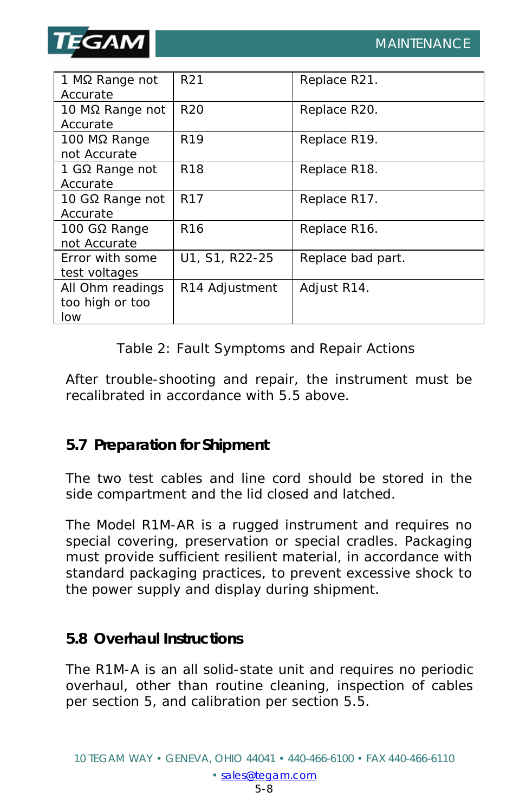

| 1 M $\Omega$ Range not<br>Accurate         | R <sub>21</sub> | Replace R21.      |
|--------------------------------------------|-----------------|-------------------|
| 10 MΩ Range not<br>Accurate                | R <sub>20</sub> | Replace R20.      |
| 100 MΩ Range<br>not Accurate               | R <sub>19</sub> | Replace R19.      |
| 1 G $\Omega$ Range not<br>Accurate         | R <sub>18</sub> | Replace R18.      |
| 10 GΩ Range not<br>Accurate                | R <sub>17</sub> | Replace R17.      |
| 100 GΩ Range<br>not Accurate               | R <sub>16</sub> | Replace R16.      |
| Error with some<br>test voltages           | U1, S1, R22-25  | Replace bad part. |
| All Ohm readings<br>too high or too<br>low | R14 Adjustment  | Adjust R14.       |

Table 2: Fault Symptoms and Repair Actions

After trouble-shooting and repair, the instrument must be recalibrated in accordance with 5.5 above.

## **5.7 Preparation for Shipment**

The two test cables and line cord should be stored in the side compartment and the lid closed and latched.

The Model R1M-AR is a rugged instrument and requires no special covering, preservation or special cradles. Packaging must provide sufficient resilient material, in accordance with standard packaging practices, to prevent excessive shock to the power supply and display during shipment.

# **5.8 Overhaul Instructions**

The R1M-A is an all solid-state unit and requires no periodic overhaul, other than routine cleaning, inspection of cables per section 5, and calibration per section 5.5.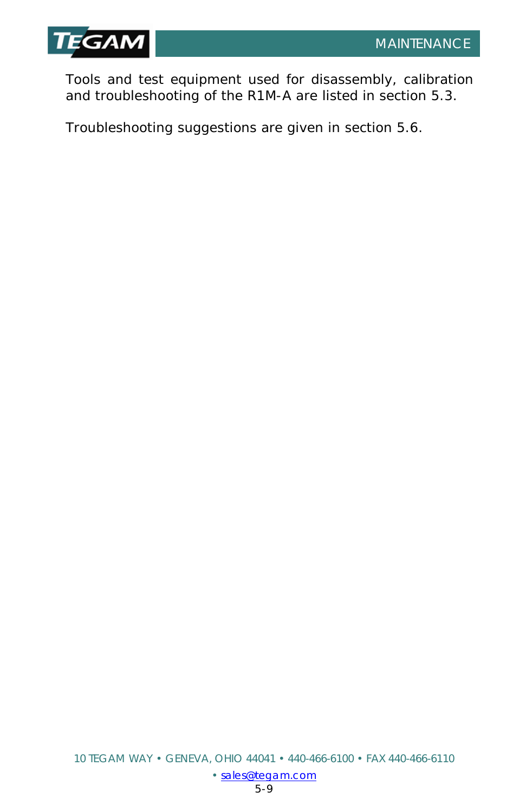

Tools and test equipment used for disassembly, calibration and troubleshooting of the R1M-A are listed in section 5.3.

Troubleshooting suggestions are given in section 5.6.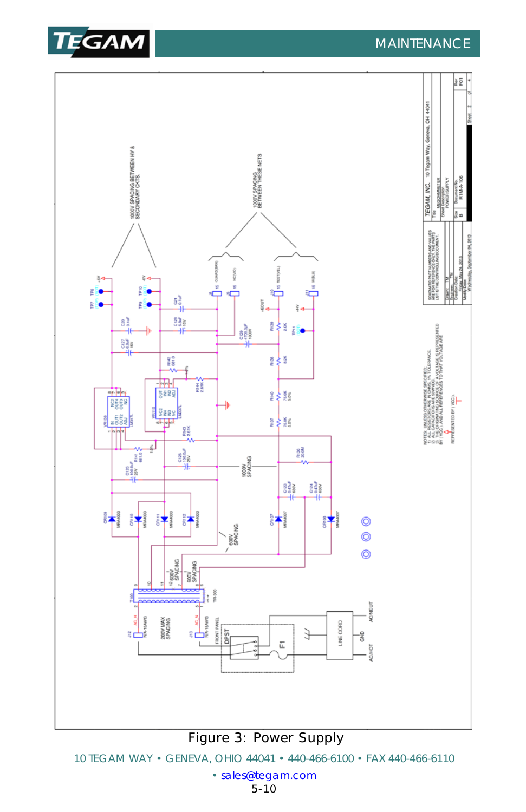



10 TEGAM WAY • GENEVA, OHIO 44041 • 440-466-6100 • FAX 440-466-6110

[• sales@tegam.com](mailto:sales@tegam.com)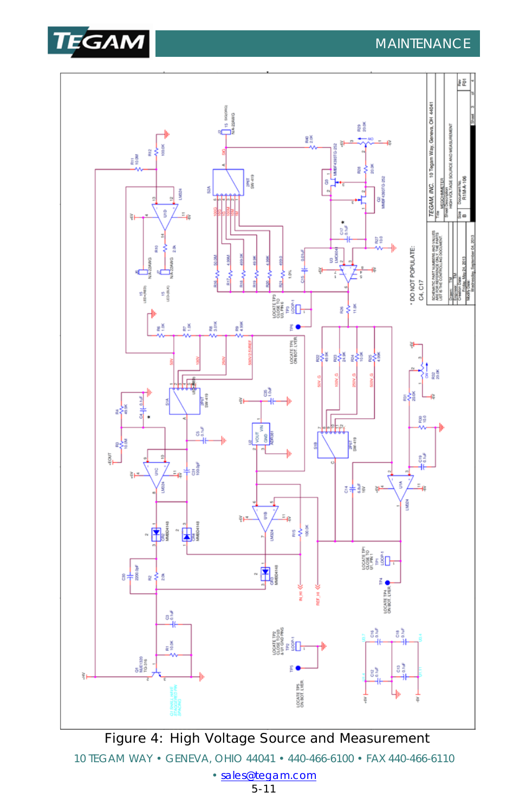



10 TEGAM WAY • GENEVA, OHIO 44041 • 440-466-6100 • FAX 440-466-6110 [• sales@tegam.com](mailto:sales@tegam.com)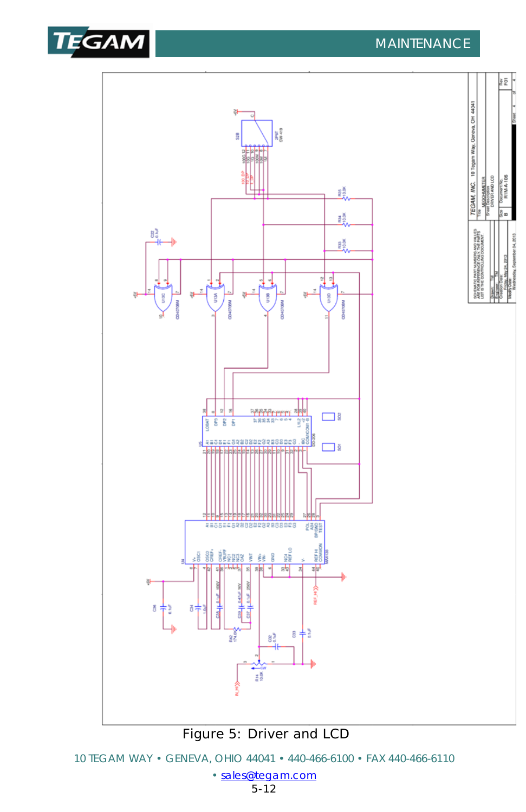



[<sup>•</sup> sales@tegam.com](mailto:sales@tegam.com)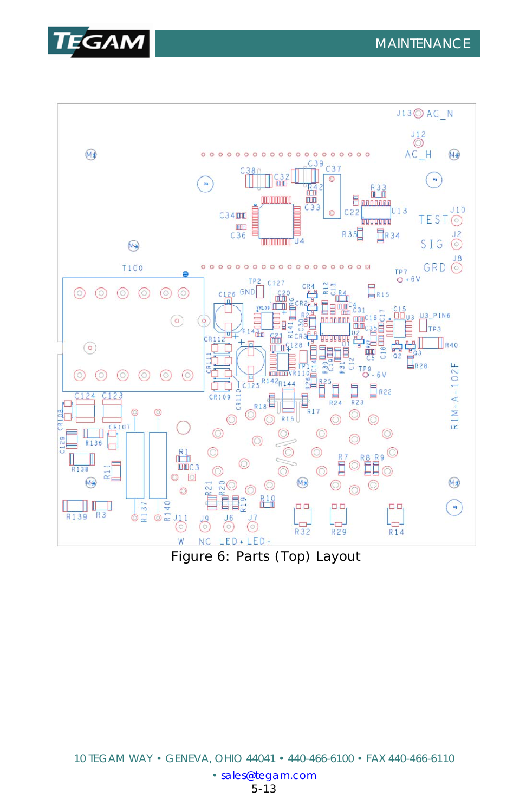



Figure 6: Parts (Top) Layout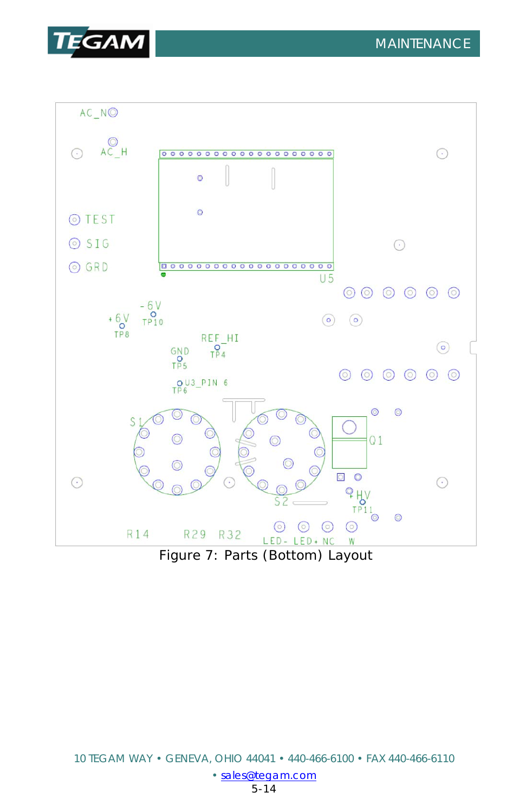



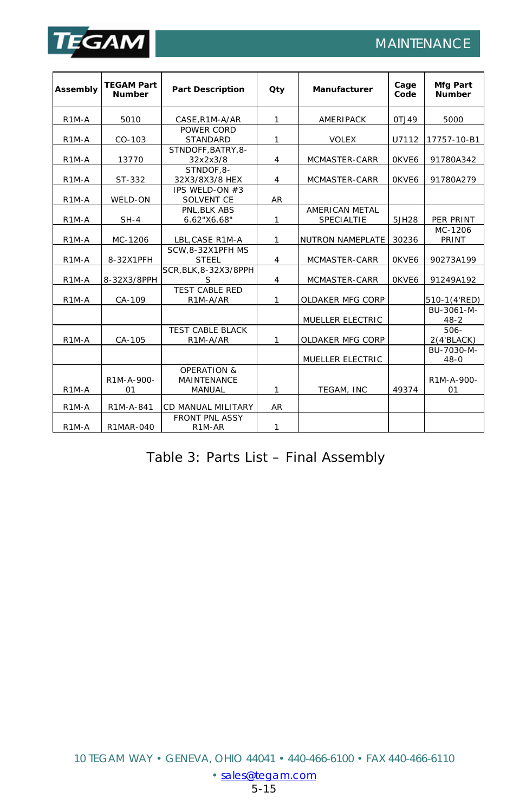

I

| Assembly           | <b>TEGAM Part</b><br><b>Number</b> | <b>Part Description</b>                      | Qty            | Manufacturer                 | Cage<br>Code | Mfg Part<br><b>Number</b> |
|--------------------|------------------------------------|----------------------------------------------|----------------|------------------------------|--------------|---------------------------|
| R <sub>1</sub> M-A | 5010                               | CASE, R1M-A/AR                               | 1              | AMERIPACK                    | OTJ49        | 5000                      |
| R <sub>1</sub> M-A | CO-103                             | POWER CORD<br><b>STANDARD</b>                | 1              | <b>VOLEX</b>                 | U7112        | 17757-10-B1               |
| R <sub>1</sub> M-A | 13770                              | STNDOFF.BATRY.8-<br>32x2x3/8                 | $\overline{4}$ | MCMASTER-CARR                | OKVE6        | 91780A342                 |
| R <sub>1</sub> M-A | ST-332                             | STNDOF.8-<br>32X3/8X3/8 HEX                  | $\overline{4}$ | MCMASTER-CARR                | OKVE6        | 91780A279                 |
| R <sub>1</sub> M-A | WELD-ON                            | IPS WELD-ON #3<br>SOLVENT CE                 | AR             |                              |              |                           |
| R <sub>1</sub> M-A | $SH-4$                             | PNL.BLK ABS<br>6.62"X6.68"                   | 1              | AMERICAN METAL<br>SPECIALTIE | 5JH28        | PER PRINT                 |
| R <sub>1</sub> M-A | MC-1206                            | LBL, CASE R1M-A                              | 1              | NUTRON NAMEPLATE             | 30236        | MC-1206<br>PRINT          |
| R <sub>1</sub> M-A | 8-32X1PFH                          | SCW,8-32X1PFH MS<br><b>STEEL</b>             | $\overline{4}$ | MCMASTER-CARR                | OKVE6        | 90273A199                 |
| R <sub>1</sub> M-A | 8-32X3/8PPH                        | SCR, BLK, 8-32X3/8PPH<br>S                   | 4              | MCMASTER-CARR                | OKVE6        | 91249A192                 |
| R <sub>1</sub> M-A | CA-109                             | <b>TEST CABLE RED</b><br>R1M-A/AR            | 1              | OLDAKER MFG CORP             |              | 510-1(4'RED)              |
|                    |                                    |                                              |                | MUELLER ELECTRIC             |              | BU-3061-M-<br>$48 - 2$    |
| R <sub>1</sub> M-A | CA-105                             | <b>TEST CABLE BLACK</b><br>R1M-A/AR          | 1              | OLDAKER MFG CORP             |              | $506 -$<br>$2(4)$ BLACK)  |
|                    |                                    |                                              |                | MUELLER ELECTRIC             |              | BU-7030-M-<br>$48 - 0$    |
| R1M-A              | R1M-A-900-<br>01                   | OPERATION &<br><b>MAINTENANCE</b><br>MANUAL  | 1              | TEGAM, INC                   | 49374        | R1M-A-900-<br>01          |
| R1M-A              | R1M-A-841                          | CD MANUAL MILITARY                           | AR             |                              |              |                           |
| R <sub>1</sub> M-A | R1MAR-040                          | <b>FRONT PNL ASSY</b><br>R <sub>1</sub> M-AR | $\mathbf{1}$   |                              |              |                           |

#### Table 3: Parts List – Final Assembly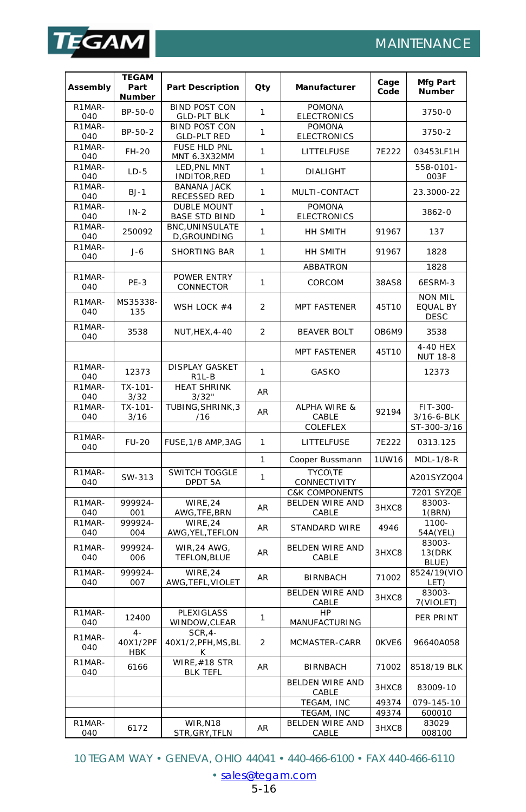

I

|                            | <b>TEGAM</b>                    |                                             |                |                                     |              | Mfg Part                                  |
|----------------------------|---------------------------------|---------------------------------------------|----------------|-------------------------------------|--------------|-------------------------------------------|
| Assembly                   | Part<br>Number                  | <b>Part Description</b>                     | Qty            | Manufacturer                        | Cage<br>Code | <b>Number</b>                             |
| R1MAR-<br>040              | BP-50-0                         | <b>BIND POST CON</b><br><b>GLD-PLT BLK</b>  | $\mathbf{1}$   | <b>POMONA</b><br><b>ELECTRONICS</b> |              | 3750-0                                    |
| R1MAR-<br>040              | BP-50-2                         | <b>BIND POST CON</b><br><b>GLD-PLT RED</b>  | $\mathbf{1}$   | <b>POMONA</b><br><b>ELECTRONICS</b> |              | 3750-2                                    |
| R1MAR-<br>040              | FH-20                           | FUSE HLD PNL<br>MNT 6.3X32MM                | $\mathbf{1}$   | LITTELFUSE                          | 7E222        | 03453LF1H                                 |
| R1MAR-<br>040              | $LD-5$                          | LED.PNL MNT<br>INDITOR, RED                 | 1              | <b>DIALIGHT</b>                     |              | 558-0101-<br>003F                         |
| R1MAR-<br>040              | $BJ-1$                          | <b>BANANA JACK</b><br>RECESSED RED          | $\mathbf{1}$   | MULTI-CONTACT                       |              | 23.3000-22                                |
| R1MAR-<br>040              | $IN-2$                          | <b>DUBLE MOUNT</b><br><b>BASE STD BIND</b>  | $\mathbf{1}$   | <b>POMONA</b><br><b>ELECTRONICS</b> |              | 3862-0                                    |
| R1MAR-<br>040              | 250092                          | BNC, UNINSULATE<br>D, GROUNDING             | $\mathbf{1}$   | HH SMITH                            | 91967        | 137                                       |
| R1MAR-<br>040              | $J-6$                           | SHORTING BAR                                | 1              | HH SMITH                            | 91967        | 1828                                      |
|                            |                                 |                                             |                | ABBATRON                            |              | 1828                                      |
| R1MAR-<br>040              | $PE-3$                          | POWER ENTRY<br>CONNECTOR                    | 1              | CORCOM                              | 38AS8        | 6ESRM-3                                   |
| R1MAR-<br>040              | MS35338-<br>135                 | WSH LOCK #4                                 | $\overline{a}$ | <b>MPT FASTENER</b>                 | 45T10        | <b>NON MIL</b><br>EQUAL BY<br><b>DESC</b> |
| R1MAR-<br>040              | 3538                            | NUT, HEX, 4-40                              | $\overline{2}$ | <b>BEAVER BOLT</b>                  | OB6M9        | 3538                                      |
|                            |                                 |                                             |                | <b>MPT FASTENER</b>                 | 45T10        | 4-40 HEX<br><b>NUT 18-8</b>               |
| R1MAR-<br>040              | 12373                           | <b>DISPLAY GASKET</b><br>R <sub>1</sub> L-B | $\mathbf{1}$   | GASKO                               |              | 12373                                     |
| R1MAR-<br>040              | $\overline{TX}$ -101-<br>3/32   | <b>HEAT SHRINK</b><br>3/32"                 | <b>AR</b>      |                                     |              |                                           |
| R1MAR-<br>040              | TX-101-<br>3/16                 | TUBING, SHRINK, 3<br>/16                    | AR             | ALPHA WIRE &<br>CABLE               | 92194        | FIT-300-<br>3/16-6-BLK                    |
|                            |                                 |                                             |                | COLEFLEX                            |              | ST-300-3/16                               |
| R1MAR-<br>040              | <b>FU-20</b>                    | FUSE, 1/8 AMP, 3AG                          | 1              | LITTELFUSE                          | 7E222        | 0313.125                                  |
|                            |                                 |                                             | 1              | Cooper Bussmann                     | 1UW16        | MDL-1/8-R                                 |
| R1MAR-<br>040              | SW-313                          | SWITCH TOGGLE<br>DPDT 5A                    | $\mathbf{1}$   | <b>TYCONTE</b><br>CONNECTIVITY      |              | A201SYZQ04                                |
|                            |                                 |                                             |                | <b>C&amp;K COMPONENTS</b>           |              | 7201 SYZQE                                |
| R1MAR-<br>040              | 999924-<br>001                  | WIRE.24<br>AWG, TFE, BRN                    | AR             | <b>BELDEN WIRE AND</b><br>CABLE     | 3HXC8        | 83003-<br>1(BRN)                          |
| R1MAR-<br>040              | 999924-<br>004                  | WIRE, 24<br>AWG, YEL, TEFLON                | <b>AR</b>      | STANDARD WIRE                       | 4946         | 1100-<br>54A(YEL)                         |
| R1MAR-<br>040              | 999924-<br>006                  | <b>WIR, 24 AWG,</b><br>TEFLON, BLUE         | <b>AR</b>      | <b>BELDEN WIRE AND</b><br>CABLE     | 3HXC8        | 83003-<br>13(DRK<br>BLUE)                 |
| R1MAR-<br>040              | 999924-<br>007                  | WIRE, 24<br>AWG, TEFL, VIOLET               | AR             | <b>BIRNBACH</b>                     | 71002        | 8524/19(VIO<br>LET)                       |
|                            |                                 |                                             |                | BELDEN WIRE AND<br>CABLE            | 3HXC8        | 83003-<br>7(VIOLET)                       |
| R <sub>1</sub> MAR-<br>040 | 12400                           | PLEXIGLASS<br>WINDOW, CLEAR                 | 1              | HP<br>MANUFACTURING                 |              | PER PRINT                                 |
| R1MAR-<br>040              | $4 -$<br>40X1/2PF<br><b>HBK</b> | $SCR.4-$<br>40X1/2, PFH, MS, BL<br>к        | 2              | MCMASTER-CARR                       | OKVE6        | 96640A058                                 |
| R1MAR-<br>040              | 6166                            | WIRE, #18 STR<br><b>BLK TEFL</b>            |                | BIRNBACH                            | 71002        | 8518/19 BLK                               |
|                            |                                 |                                             |                | <b>BELDEN WIRE AND</b><br>CABLE     | 3HXC8        | 83009-10                                  |
|                            |                                 |                                             |                | TEGAM, INC                          | 49374        | $\overline{079} - 145 - 10$               |
|                            |                                 |                                             |                | TEGAM, INC                          | 49374        | 600010                                    |
| R1MAR-                     | 6172                            | WIR, N18                                    | AR             | <b>BELDEN WIRE AND</b>              | 3HXC8        | 83029                                     |
| 040                        |                                 | STR, GRY, TFLN                              |                | CABLE                               |              | 008100                                    |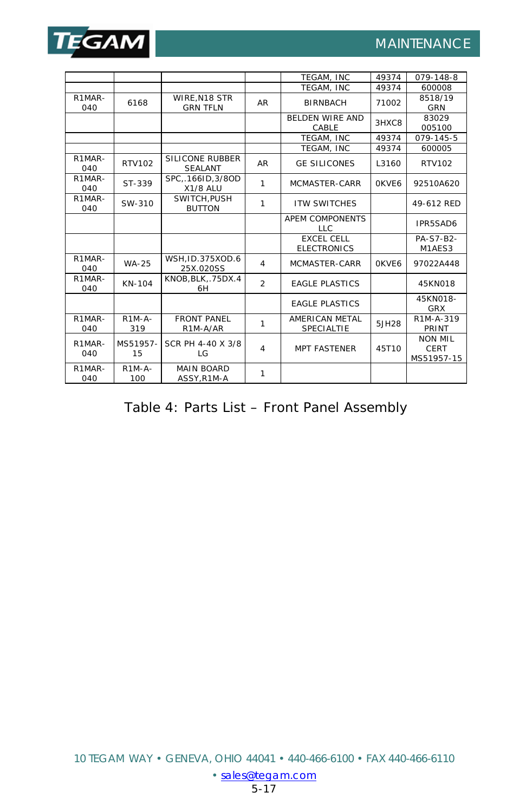

|                            |                                         |                                    |                | TEGAM. INC                              | 49374  | 079-148-8                                   |
|----------------------------|-----------------------------------------|------------------------------------|----------------|-----------------------------------------|--------|---------------------------------------------|
|                            |                                         |                                    |                | TEGAM. INC                              | 49374  | 600008                                      |
| R1MAR-<br>040              | WIRE.N18 STR<br>6168<br><b>GRN TFLN</b> |                                    | <b>AR</b>      | <b>BIRNBACH</b>                         | 71002  | 8518/19<br><b>GRN</b>                       |
|                            |                                         |                                    |                | <b>BELDEN WIRE AND</b><br>CABLE         | 3HXC8  | 83029<br>005100                             |
|                            |                                         |                                    |                | TEGAM. INC                              | 49374  | 079-145-5                                   |
|                            |                                         |                                    |                | TEGAM, INC                              | 49374  | 600005                                      |
| R1MAR-<br>040              | RTV102                                  | SILICONE RUBBER<br><b>SEALANT</b>  | <b>AR</b>      | <b>GE SILICONES</b>                     | L3160  | <b>RTV102</b>                               |
| R <sub>1</sub> MAR-<br>040 | ST-339                                  | SPC166ID, 3/8OD<br><b>X1/8 ALU</b> | 1              | MCMASTER-CARR                           | OKVE6  | 92510A620                                   |
| R1MAR-<br>040              | SW-310                                  | SWITCH.PUSH<br><b>BUTTON</b>       | 1              | <b>ITW SWITCHES</b>                     |        | 49-612 RED                                  |
|                            |                                         |                                    |                | <b>APEM COMPONENTS</b><br>LLC.          |        | IPR5SAD6                                    |
|                            |                                         |                                    |                | <b>EXCEL CELL</b><br><b>ELECTRONICS</b> |        | PA-S7-B2-<br>M1AES3                         |
| R1MAR-<br>040              | <b>WA-25</b>                            | WSH, ID.375XOD.6<br>25X.020SS      | 4              | MCMASTER-CARR                           | OKVF6  | 97022A448                                   |
| R1MAR-<br>040              | KN-104                                  | KNOB, BLK, .75DX.4<br>6H           | $\mathfrak{D}$ | <b>FAGLE PLASTICS</b>                   |        | 45KN018                                     |
|                            |                                         |                                    |                | <b>FAGLE PLASTICS</b>                   |        | 45KN018-<br><b>GRX</b>                      |
| R1MAR-<br>040              | $R1M-A-$<br>319                         | <b>FRONT PANFL</b><br>R1M-A/AR     | 1              | AMERICAN METAL<br>SPECIALTIE            | 5.JH28 | R1M-A-319<br>PRINT                          |
| R1MAR-<br>040              | MS51957-<br>15                          | SCR PH 4-40 X 3/8<br>LG            | 4              | <b>MPT FASTENER</b>                     | 45T10  | <b>NON MIL</b><br><b>CERT</b><br>MS51957-15 |
| R1MAR-<br>040              | $R1M-A-$<br>100                         | <b>MAIN BOARD</b><br>ASSY, R1M-A   | 1              |                                         |        |                                             |

Table 4: Parts List – Front Panel Assembly

[• sales@tegam.com](mailto:sales@tegam.com)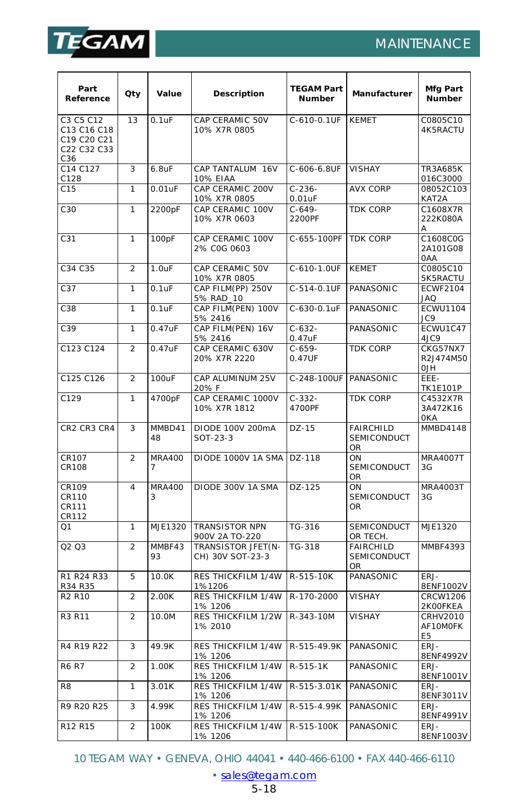

I

## MAINTENANCE

| Part<br>Reference                                             | Qty            | Value              | Description                             | <b>TEGAM Part</b><br><b>Number</b> | Manufacturer                                 | Mfg Part<br>Number                            |
|---------------------------------------------------------------|----------------|--------------------|-----------------------------------------|------------------------------------|----------------------------------------------|-----------------------------------------------|
| C3 C5 C12<br>C13 C16 C18<br>C19 C20 C21<br>C22 C32 C33<br>C36 | 13             | $0.1$ uF           | CAP CERAMIC 50V<br>10% X7R 0805         | C-610-0.1UF                        | <b>KEMET</b>                                 | C0805C10<br>4K5RACTU                          |
| C14 C127<br>C128                                              | 3              | $6.8$ u $F$        | CAP TANTALUM 16V<br><b>10% EIAA</b>     | C-606-6.8UF                        | <b>VISHAY</b>                                | TR3A685K<br>016C3000                          |
| C15                                                           | 1              | $0.01$ u $F$       | CAP CERAMIC 200V<br>10% X7R 0805        | $C-236-$<br>$0.01$ u $F$           | <b>AVX CORP</b>                              | 08052C103<br>KAT2A                            |
| C30                                                           | 1              | 2200pF             | CAP CERAMIC 100V<br>10% X7R 0603        | $C-649-$<br>2200PF                 | <b>TDK CORP</b>                              | C1608X7R<br>222K080A<br>Α                     |
| C <sub>31</sub>                                               | $\mathbf{1}$   | 100pF              | CAP CERAMIC 100V<br>2% COG 0603         | C-655-100PF                        | <b>TDK CORP</b>                              | C1608C0G<br>2A101G08<br>0AA                   |
| C34 C35                                                       | $\overline{2}$ | 1.0uF              | CAP CERAMIC 50V<br>10% X7R 0805         | C-610-1.0UF                        | <b>KEMET</b>                                 | C0805C10<br>5K5RACTU                          |
| C37                                                           | 1              | $0.1$ u $F$        | CAP FILM(PP) 250V<br>5% RAD 10          | C-514-0.1UF                        | PANASONIC                                    | <b>ECWF2104</b><br>JAQ                        |
| C38                                                           | 1              | $0.1$ u $F$        | CAP FILM(PEN) 100V<br>5% 2416           | C-630-0.1uF                        | PANASONIC                                    | <b>ECWU1104</b><br>JC9                        |
| C39                                                           | $\mathbf{1}$   | 0.47uF             | CAP FILM(PEN) 16V<br>5% 2416            | $C-632-$<br>0.47uF                 | PANASONIC                                    | ECWU1C47<br>4JC9                              |
| C123 C124                                                     | $\overline{2}$ | 0.47uF             | CAP CERAMIC 630V<br>20% X7R 2220        | $C - 659 -$<br>0.47UF              | <b>TDK CORP</b>                              | CKG57NX7<br>R2J474M50<br><b>HLO</b>           |
| C125 C126                                                     | $\overline{2}$ | 100uF              | CAP ALUMINUM 25V<br>20% F               | C-248-100UF                        | PANASONIC                                    | EEE-<br><b>TK1E101P</b>                       |
| C129                                                          | 1              | 4700pF             | CAP CERAMIC 1000V<br>10% X7R 1812       | $C-332-$<br>4700PF                 | <b>TDK CORP</b>                              | C4532X7R<br>3A472K16<br>0KA                   |
| CR2 CR3 CR4                                                   | 3              | MMBD41<br>48       | DIODE 100V 200mA<br>SOT-23-3            | $DZ-15$                            | <b>FAIRCHILD</b><br>SEMICONDUCT<br><b>OR</b> | <b>MMBD4148</b>                               |
| CR107<br>CR108                                                | $\overline{2}$ | <b>MRA400</b><br>7 | DIODE 1000V 1A SMA                      | DZ-118                             | ON<br>SEMICONDUCT<br>OR                      | MRA4007T<br>3G                                |
| CR109<br><b>CR110</b><br>CR111<br>CR112                       | 4              | <b>MRA400</b><br>3 | DIODE 300V 1A SMA                       | DZ-125                             | ON<br>SEMICONDUCT<br>OR                      | MRA4003T<br>3G                                |
| Q1                                                            | 1              | MJE1320            | <b>TRANSISTOR NPN</b><br>900V 2A TO-220 | TG-316                             | <b>SEMICONDUCT</b><br>OR TECH.               | MJE1320                                       |
| Q <sub>2</sub> Q <sub>3</sub>                                 | $\overline{2}$ | MMBF43<br>93       | TRANSISTOR JFET(N-<br>CH) 30V SOT-23-3  | TG-318                             | <b>FAIRCHILD</b><br><b>SEMICONDUCT</b><br>OR | <b>MMBF4393</b>                               |
| R1 R24 R33<br>R34 R35                                         | 5              | 10.0K              | RES THICKFILM 1/4W<br>1%1206            | R-515-10K                          | PANASONIC                                    | ERJ-<br>8ENF1002V                             |
| R <sub>2</sub> R <sub>10</sub>                                | $\overline{2}$ | 2.00K              | RES THICKFILM 1/4W<br>1% 1206           | R-170-2000                         | <b>VISHAY</b>                                | <b>CRCW1206</b><br>2K00FKEA                   |
| R3 R11                                                        | $\overline{2}$ | 10.0M              | <b>RES THICKFILM 1/2W</b><br>1% 2010    | R-343-10M                          | <b>VISHAY</b>                                | <b>CRHV2010</b><br>AF10MOFK<br>E <sub>5</sub> |
| R4 R19 R22                                                    | 3              | 49.9K              | RES THICKFILM 1/4W<br>1% 1206           | R-515-49.9K                        | PANASONIC                                    | ERJ-<br>8ENF4992V                             |
| <b>R6 R7</b>                                                  | $\overline{2}$ | 1.00K              | RES THICKFILM 1/4W<br>1% 1206           | R-515-1K                           | PANASONIC                                    | ERJ-<br>8ENF1001V                             |
| R <sub>8</sub>                                                | 1              | 3.01K              | RES THICKFILM 1/4W<br>1% 1206           | R-515-3.01K                        | PANASONIC                                    | ERJ-<br>8ENF3011V                             |
| R9 R20 R25                                                    | 3              | 4.99K              | RES THICKFILM 1/4W<br>1% 1206           | R-515-4.99K                        | PANASONIC                                    | ERJ-<br>8ENF4991V                             |
| R12 R15                                                       | $\overline{2}$ | 100K               | RES THICKFILM 1/4W<br>1% 1206           | R-515-100K                         | PANASONIC                                    | ERJ-<br>8ENF1003V                             |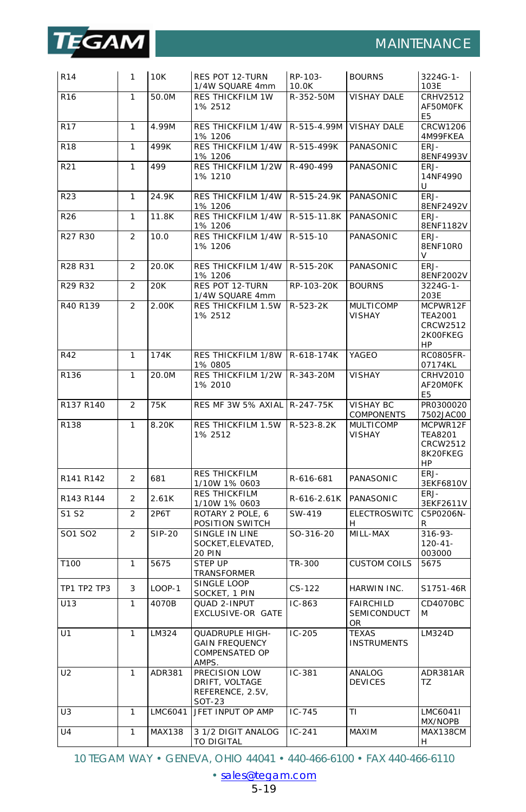

| R <sub>14</sub> | 1              | 10K           | RES POT 12-TURN<br>1/4W SQUARE 4mm                                         | RP-103-<br>10.0K | <b>BOURNS</b>                                       | 3224G-1-<br>103E                                                |
|-----------------|----------------|---------------|----------------------------------------------------------------------------|------------------|-----------------------------------------------------|-----------------------------------------------------------------|
| R <sub>16</sub> | 1              | 50.0M         | <b>RES THICKFILM 1W</b><br>1% 2512                                         | R-352-50M        | <b>VISHAY DALE</b>                                  | CRHV2512<br>AF50MOFK<br>E5                                      |
| <b>R17</b>      | $\mathbf{1}$   | 4.99M         | <b>RES THICKFILM 1/4W</b><br>1% 1206                                       | R-515-4.99M      | <b>VISHAY DALE</b>                                  | <b>CRCW1206</b><br>4M99FKEA                                     |
| <b>R18</b>      | 1              | 499K          | RES THICKFILM 1/4W<br>1% 1206                                              | R-515-499K       | PANASONIC                                           | ERJ-<br>8ENF4993V                                               |
| R21             | 1              | 499           | RES THICKFILM 1/2W<br>1% 1210                                              | R-490-499        | PANASONIC                                           | ERJ-<br>14NF4990<br>и                                           |
| R <sub>23</sub> | 1              | 24.9K         | <b>RES THICKFILM 1/4W</b><br>1% 1206                                       | R-515-24.9K      | PANASONIC                                           | ERJ-<br>8ENF2492V                                               |
| R26             | $\mathbf{1}$   | 11.8K         | RES THICKFILM 1/4W<br>1% 1206                                              | R-515-11.8K      | PANASONIC                                           | ERJ-<br>8ENF1182V                                               |
| R27 R30         | $\overline{2}$ | 10.0          | RES THICKFILM 1/4W<br>1% 1206                                              | R-515-10         | PANASONIC                                           | ERJ-<br>8ENF10R0                                                |
| R28 R31         | $\overline{2}$ | 20.0K         | RES THICKFILM 1/4W<br>1% 1206                                              | R-515-20K        | PANASONIC                                           | ERJ-<br>8ENF2002V                                               |
| R29 R32         | 2              | 20K           | RES POT 12-TURN<br>1/4W SQUARE 4mm                                         | RP-103-20K       | <b>BOURNS</b>                                       | 3224G-1-<br>203E                                                |
| R40 R139        | $\overline{2}$ | 2.00K         | RES THICKFILM 1.5W<br>1% 2512                                              | R-523-2K         | <b>MULTICOMP</b><br>VISHAY                          | MCPWR12F<br><b>TEA2001</b><br>CRCW2512<br>2K00FKEG<br>HP        |
| <b>R42</b>      | 1              | 174K          | <b>RES THICKFILM 1/8W</b><br>1% 0805                                       | R-618-174K       | YAGEO                                               | <b>RC0805FR-</b><br>07174KL                                     |
| R136            | $\mathbf{1}$   | 20.0M         | RES THICKFILM 1/2W<br>1% 2010                                              | R-343-20M        | <b>VISHAY</b>                                       | <b>CRHV2010</b><br>AF20MOFK<br>E <sub>5</sub>                   |
| R137 R140       | 2              | 75K           | RES MF 3W 5% AXIAL                                                         | R-247-75K        | <b>VISHAY BC</b><br>COMPONENTS                      | PR0300020<br>7502JAC00                                          |
| R138            | $\mathbf{1}$   | 8.20K         | RES THICKFILM 1.5W<br>1% 2512                                              | R-523-8.2K       | <b>MULTICOMP</b><br><b>VISHAY</b>                   | MCPWR12F<br><b>TEA8201</b><br><b>CRCW2512</b><br>8K20FKEG<br>HP |
| R141 R142       | $\overline{a}$ | 681           | <b>RES THICKFILM</b><br>1/10W 1% 0603                                      | R-616-681        | PANASONIC                                           | ERJ-<br>3EKF6810V                                               |
| R143 R144       | $\overline{2}$ | 2.61K         | <b>RES THICKFILM</b><br>1/10W 1% 0603                                      | R-616-2.61K      | PANASONIC                                           | FR <sub>1</sub><br>3EKF2611V                                    |
| S1 S2           | $\overline{2}$ | 2P6T          | ROTARY 2 POLE, 6<br>POSITION SWITCH                                        | SW-419           | <b>ELECTROSWITC</b><br>н                            | C5P0206N-<br>R                                                  |
| SO1 SO2         | $\overline{2}$ | <b>SIP-20</b> | SINGLE IN LINE<br>SOCKET, ELEVATED,<br><b>20 PIN</b>                       | SO-316-20        | MILL-MAX                                            | $316 - 93 -$<br>$120 - 41 -$<br>003000                          |
| T100            | 1              | 5675          | <b>STFP UP</b><br>TRANSFORMER                                              | TR-300           | <b>CUSTOM COILS</b>                                 | 5675                                                            |
| TP1 TP2 TP3     | 3              | LOOP-1        | SINGLE LOOP<br>SOCKET, 1 PIN                                               | $CS-122$         | HARWIN INC.                                         | S1751-46R                                                       |
| U13             | 1              | 4070B         | QUAD 2-INPUT<br>EXCLUSIVE-OR GATE                                          | $IC-863$         | <b>FAIRCHILD</b><br><b>SEMICONDUCT</b><br><b>OR</b> | CD4070BC<br>M                                                   |
| U1              | 1              | LM324         | <b>QUADRUPLE HIGH-</b><br><b>GAIN FREQUENCY</b><br>COMPENSATED OP<br>AMPS. | $IC-205$         | <b>TEXAS</b><br><b>INSTRUMENTS</b>                  | LM324D                                                          |
| U <sub>2</sub>  | 1              | ADR381        | <b>PRECISION LOW</b><br>DRIFT, VOLTAGE<br>REFERENCE, 2.5V,<br>SOT-23       | $IC-381$         | ANALOG<br><b>DEVICES</b>                            | ADR381AR<br>ΤZ                                                  |
| U3              | 1              | LMC6041       | JFET INPUT OP AMP                                                          | $IC-745$         | ΤI                                                  | LMC6041I<br>MX/NOPB                                             |
| U <sub>4</sub>  | $\mathbf{1}$   | MAX138        | 3 1/2 DIGIT ANALOG<br>TO DIGITAL                                           | $IC-241$         | MAXIM                                               | MAX138CM<br>н                                                   |

[<sup>•</sup> sales@tegam.com](mailto:sales@tegam.com)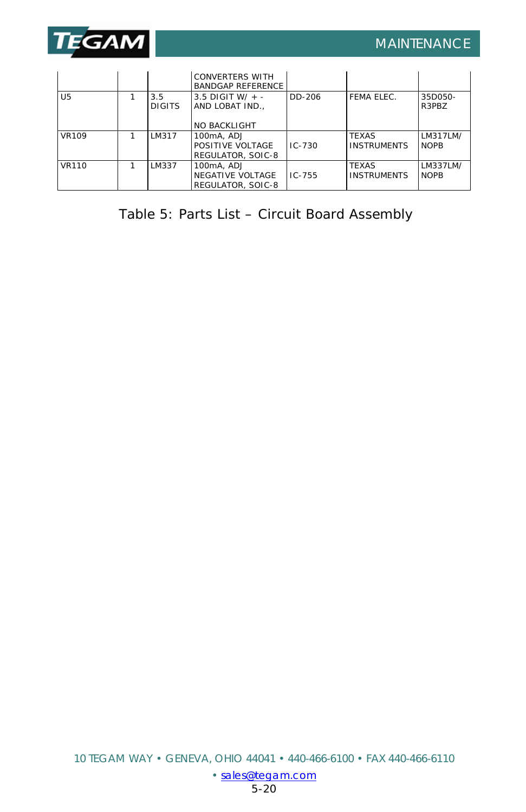

I

|                |                      | <b>CONVERTERS WITH</b><br><b>BANDGAP REFERENCE</b>         |            |                                    |                         |
|----------------|----------------------|------------------------------------------------------------|------------|------------------------------------|-------------------------|
| U <sub>5</sub> | 3.5<br><b>DIGITS</b> | 3.5 DIGIT W/ $+ -$<br>AND LOBAT IND<br><b>NO BACKLIGHT</b> | DD-206     | FFMA FLFC.                         | 35D050-<br>R3PBZ        |
| <b>VR109</b>   | LM317                | 100mA, ADJ<br>POSITIVE VOLTAGE<br>REGULATOR, SOIC-8        | $IC - 730$ | <b>TFXAS</b><br><b>INSTRUMENTS</b> | LM317LM/<br><b>NOPB</b> |
| <b>VR110</b>   | LM337                | 100mA, ADJ<br>NEGATIVE VOLTAGE<br>REGULATOR, SOIC-8        | $IC - 755$ | <b>TFXAS</b><br><b>INSTRUMENTS</b> | LM337LM/<br><b>NOPB</b> |

Table 5: Parts List – Circuit Board Assembly

[<sup>•</sup> sales@tegam.com](mailto:sales@tegam.com)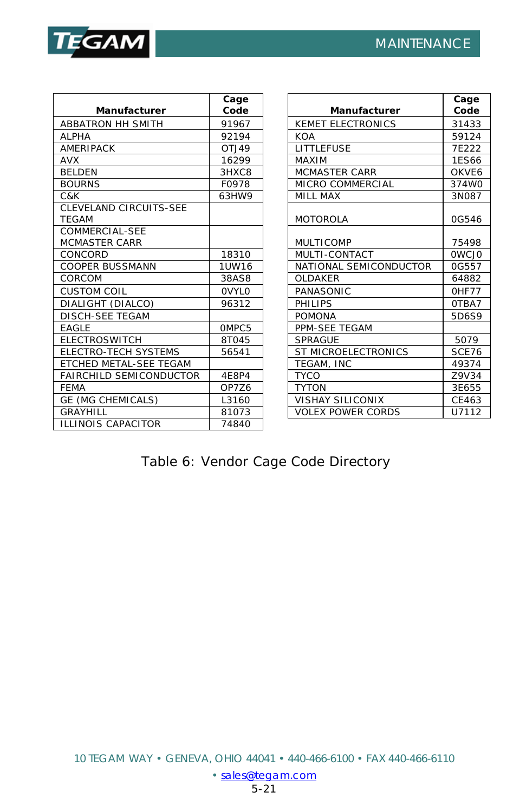

|                                | Cage         |                          | Cage         |
|--------------------------------|--------------|--------------------------|--------------|
| Manufacturer                   | Code         | Manufacturer             | Code         |
| <b>ABBATRON HH SMITH</b>       | 91967        | <b>KEMET ELECTRONICS</b> | 31433        |
| <b>ALPHA</b>                   | 92194        | <b>KOA</b>               | 59124        |
| <b>AMERIPACK</b>               | OTJ49        | <b>LITTLEFUSE</b>        | 7F222        |
| <b>AVX</b>                     | 16299        | <b>MAXIM</b>             | 1ES66        |
| <b>BELDEN</b>                  | 3HXC8        | <b>MCMASTER CARR</b>     | OKVE6        |
| <b>BOURNS</b>                  | F0978        | <b>MICRO COMMERCIAL</b>  | 374W0        |
| C&K                            | 63HW9        | <b>MILL MAX</b>          | 3N087        |
| CLEVELAND CIRCUITS-SEE         |              |                          |              |
| <b>TEGAM</b>                   |              | <b>MOTOROLA</b>          | 0G546        |
| COMMERCIAL-SEE                 |              |                          |              |
| <b>MCMASTER CARR</b>           |              | <b>MULTICOMP</b>         | 75498        |
| CONCORD                        | 18310        | MULTI-CONTACT            | <b>OWCJO</b> |
| <b>COOPER BUSSMANN</b>         | 1UW16        | NATIONAL SEMICONDUCTOR   | 0G557        |
| CORCOM                         | 38AS8        | OLDAKER                  | 64882        |
| <b>CUSTOM COIL</b>             | <b>OVYLO</b> | PANASONIC                | OHF77        |
| DIALIGHT (DIALCO)              | 96312        | PHILIPS                  | OTBA7        |
| <b>DISCH-SEE TEGAM</b>         |              | <b>POMONA</b>            | 5D6S9        |
| <b>EAGLE</b>                   | OMPC5        | PPM-SEE TEGAM            |              |
| <b>ELECTROSWITCH</b>           | 8T045        | <b>SPRAGUE</b>           | 5079         |
| <b>ELECTRO-TECH SYSTEMS</b>    | 56541        | ST MICROELECTRONICS      | SCE76        |
| ETCHED METAL-SEE TEGAM         |              | TEGAM, INC               | 49374        |
| <b>FAIRCHILD SEMICONDUCTOR</b> | 4E8P4        | <b>TYCO</b>              | Z9V34        |
| <b>FEMA</b>                    | OP7Z6        | <b>TYTON</b>             | 3E655        |
| GE (MG CHEMICALS)              | L3160        | <b>VISHAY SILICONIX</b>  | CE463        |
| GRAYHILL                       | 81073        | <b>VOLEX POWER CORDS</b> | U7112        |
| <b>ILLINOIS CAPACITOR</b>      | 74840        |                          |              |

# Table 6: Vendor Cage Code Directory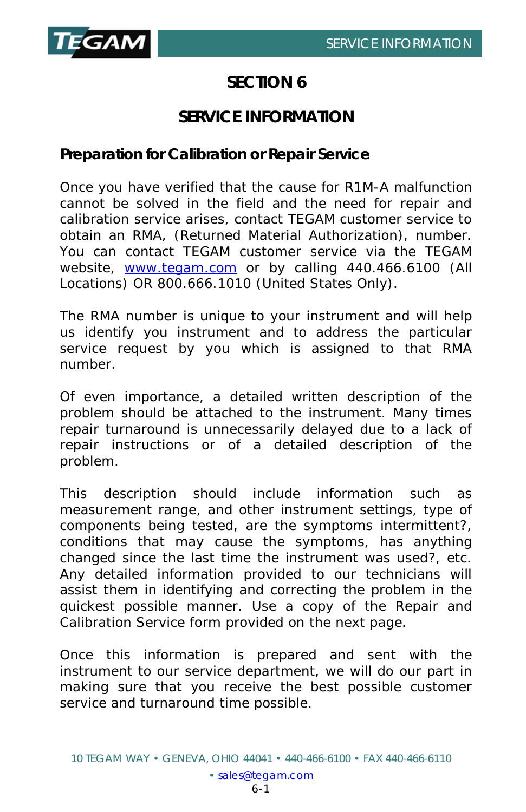

# **SECTION 6**

# **SERVICE INFORMATION**

#### **Preparation for Calibration or Repair Service**

Once you have verified that the cause for R1M-A malfunction cannot be solved in the field and the need for repair and calibration service arises, contact TEGAM customer service to obtain an RMA, (Returned Material Authorization), number. You can contact TEGAM customer service via the TEGAM website, [www.tegam.com](http://www.tegam.com/) or by calling 440.466.6100 (*All Locations*) OR 800.666.1010 (*United States Only*).

The RMA number is unique to your instrument and will help us identify you instrument and to address the particular service request by you which is assigned to that RMA number.

Of even importance, a detailed written description of the problem should be attached to the instrument. Many times repair turnaround is unnecessarily delayed due to a lack of repair instructions or of a detailed description of the problem.

This description should include information such as measurement range, and other instrument settings, type of components being tested, are the symptoms intermittent?, conditions that may cause the symptoms, has anything changed since the last time the instrument was used?, etc. Any detailed information provided to our technicians will assist them in identifying and correcting the problem in the quickest possible manner. Use a copy of the Repair and Calibration Service form provided on the next page.

Once this information is prepared and sent with the instrument to our service department, we will do our part in making sure that you receive the best possible customer service and turnaround time possible.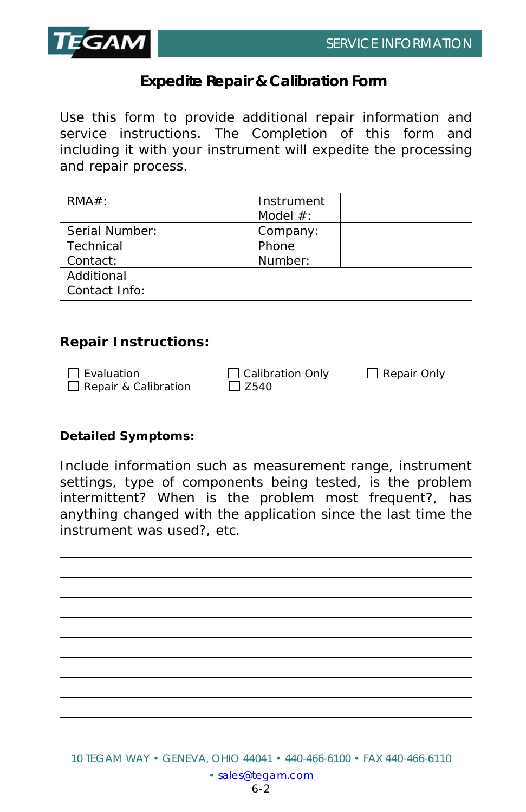

# **Expedite Repair & Calibration Form**

Use this form to provide additional repair information and service instructions. The Completion of this form and including it with your instrument will expedite the processing and repair process.

| $RMA#$ :       | Instrument  |  |
|----------------|-------------|--|
|                | Model $#$ : |  |
| Serial Number: | Company:    |  |
| Technical      | Phone       |  |
| Contact:       | Number:     |  |
| Additional     |             |  |
| Contact Info:  |             |  |

#### **Repair Instructions:**

| $\Box$ Evaluation           | $\Box$ Calibration Only | $\Box$ Repair Only |
|-----------------------------|-------------------------|--------------------|
| $\Box$ Repair & Calibration | $\Box$ Z540             |                    |

#### **Detailed Symptoms:**

Include information such as measurement range, instrument settings, type of components being tested, is the problem intermittent? When is the problem most frequent?, has anything changed with the application since the last time the instrument was used?, etc.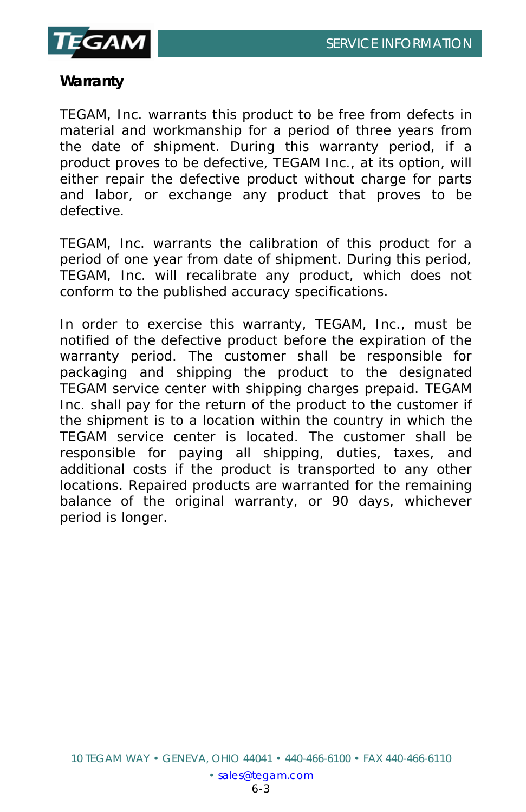

## **Warranty**

TEGAM, Inc. warrants this product to be free from defects in material and workmanship for a period of three years from the date of shipment. During this warranty period, if a product proves to be defective, TEGAM Inc., at its option, will either repair the defective product without charge for parts and labor, or exchange any product that proves to be defective.

TEGAM, Inc. warrants the calibration of this product for a period of one year from date of shipment. During this period, TEGAM, Inc. will recalibrate any product, which does not conform to the published accuracy specifications.

In order to exercise this warranty, TEGAM, Inc., must be notified of the defective product before the expiration of the warranty period. The customer shall be responsible for packaging and shipping the product to the designated TEGAM service center with shipping charges prepaid. TEGAM Inc. shall pay for the return of the product to the customer if the shipment is to a location within the country in which the TEGAM service center is located. The customer shall be responsible for paying all shipping, duties, taxes, and additional costs if the product is transported to any other locations. Repaired products are warranted for the remaining balance of the original warranty, or 90 days, whichever period is longer.